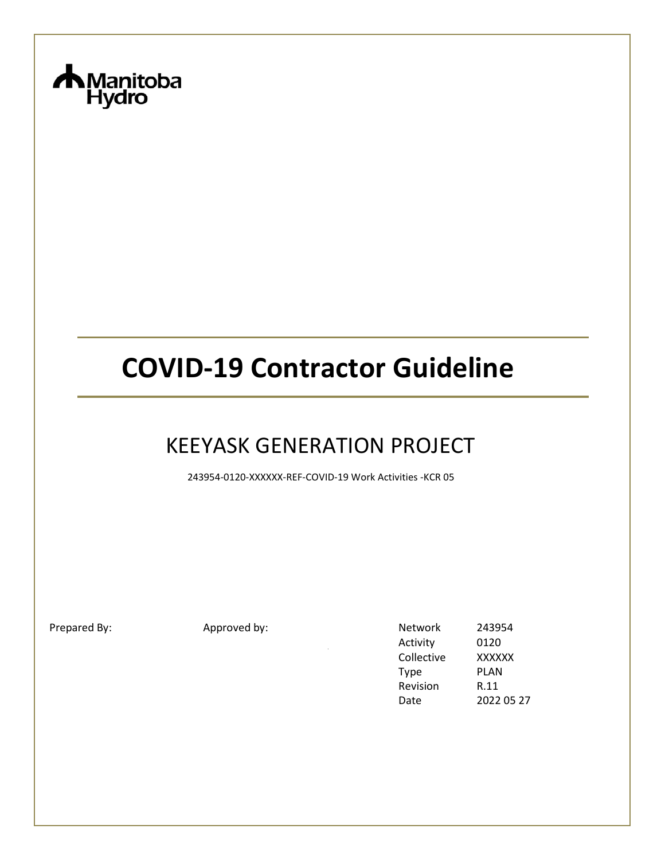

# **COVID-19 Contractor Guideline**

# KEEYASK GENERATION PROJECT

243954-0120-XXXXXX-REF-COVID-19 Work Activities -KCR 05

Prepared By: Approved by: Network 243954 Activity 0120 Collective XXXXXX Type PLAN Revision R.11 Date 2022 05 27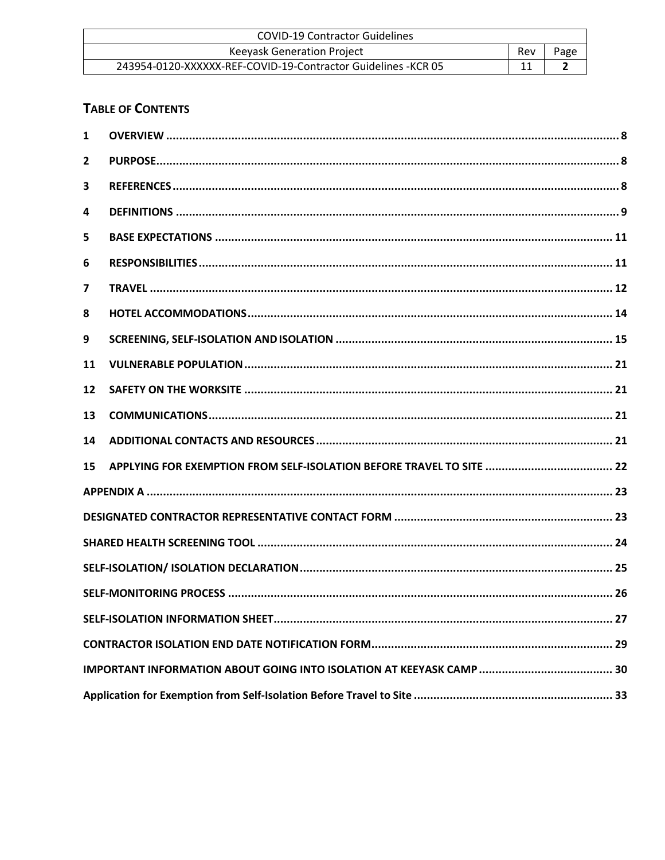| <b>COVID-19 Contractor Guidelines</b>                          |     |      |
|----------------------------------------------------------------|-----|------|
| <b>Keeyask Generation Project</b>                              | Rev | Page |
| 243954-0120-XXXXXX-REF-COVID-19-Contractor Guidelines - KCR 05 |     |      |

# **TABLE OF CONTENTS**

| $\mathbf{1}$ |  |
|--------------|--|
| $\mathbf{2}$ |  |
| 3            |  |
| 4            |  |
| 5            |  |
| 6            |  |
| 7            |  |
| 8            |  |
| 9            |  |
| 11           |  |
| 12           |  |
| 13           |  |
| 14           |  |
| 15           |  |
|              |  |
|              |  |
|              |  |
|              |  |
|              |  |
|              |  |
|              |  |
|              |  |
|              |  |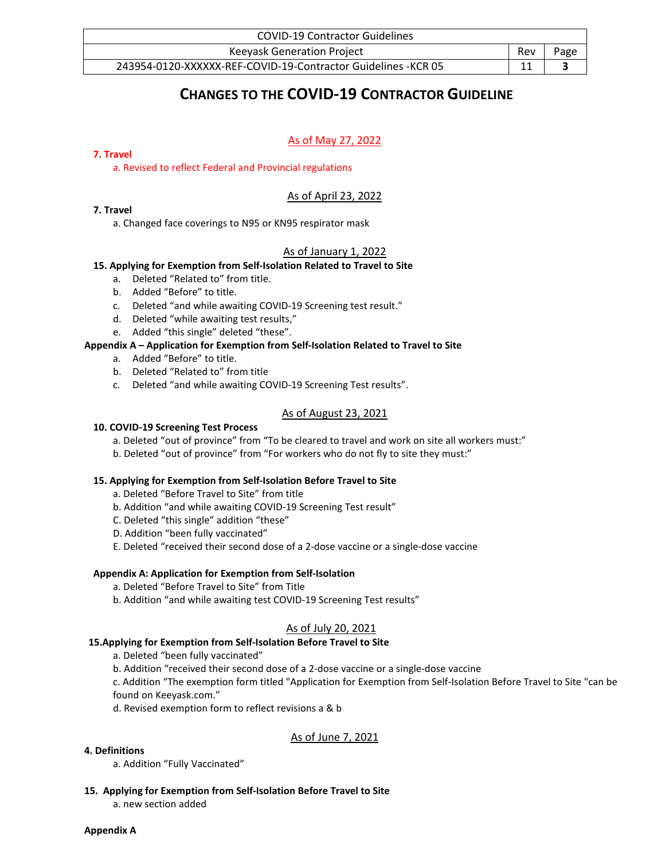| <b>COVID-19 Contractor Guidelines</b>                          |     |      |
|----------------------------------------------------------------|-----|------|
| <b>Keevask Generation Project</b>                              | Rev | Page |
| 243954-0120-XXXXXX-REF-COVID-19-Contractor Guidelines - KCR 05 |     |      |

# **CHANGES TO THE COVID-19 CONTRACTOR GUIDELINE**

### As of May 27, 2022

#### **7. Travel**

a. Revised to reflect Federal and Provincial regulations

### As of April 23, 2022

#### **7. Travel**

a. Changed face coverings to N95 or KN95 respirator mask

### As of January 1, 2022

#### **15. Applying for Exemption from Self-Isolation Related to Travel to Site**

- a. Deleted "Related to" from title.
- b. Added "Before" to title.
- c. Deleted "and while awaiting COVID-19 Screening test result."
- d. Deleted "while awaiting test results,"
- e. Added "this single" deleted "these".

### **Appendix A – Application for Exemption from Self-Isolation Related to Travel to Site**

- a. Added "Before" to title.
- b. Deleted "Related to" from title
- c. Deleted "and while awaiting COVID-19 Screening Test results".

### As of August 23, 2021

#### **10. COVID-19 Screening Test Process**

- a. Deleted "out of province" from "To be cleared to travel and work on site all workers must:"
- b. Deleted "out of province" from "For workers who do not fly to site they must:"

### **15. Applying for Exemption from Self-Isolation Before Travel to Site**

- a. Deleted "Before Travel to Site" from title
- b. Addition "and while awaiting COVID-19 Screening Test result"
- C. Deleted "this single" addition "these"
- D. Addition "been fully vaccinated"
- E. Deleted "received their second dose of a 2-dose vaccine or a single-dose vaccine

### **Appendix A: Application for Exemption from Self-Isolation**

- a. Deleted "Before Travel to Site" from Title
- b. Addition "and while awaiting test COVID-19 Screening Test results"

### As of July 20, 2021

#### **15.Applying for Exemption from Self-Isolation Before Travel to Site**

- a. Deleted "been fully vaccinated"
- b. Addition "received their second dose of a 2-dose vaccine or a single-dose vaccine

c. Addition "The exemption form titled "Application for Exemption from Self-Isolation Before Travel to Site "can be found on Keeyask.com."

d. Revised exemption form to reflect revisions a & b

### As of June 7, 2021

#### **4. Definitions**

a. Addition "Fully Vaccinated"

**15. Applying for Exemption from Self-Isolation Before Travel to Site**

a. new section added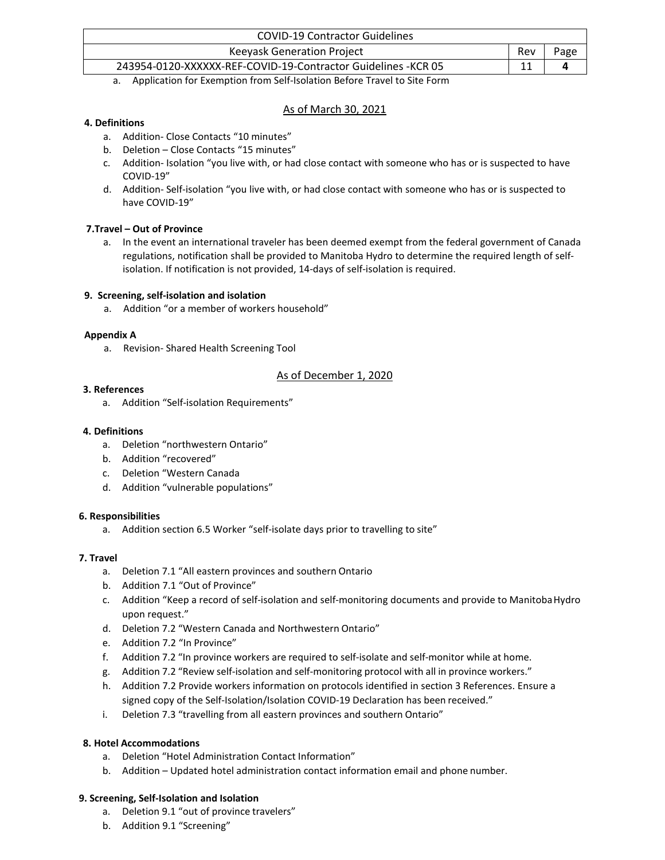| <b>COVID-19 Contractor Guidelines</b>                          |     |      |
|----------------------------------------------------------------|-----|------|
| <b>Keeyask Generation Project</b>                              | Rev | Page |
| 243954-0120-XXXXXX-REF-COVID-19-Contractor Guidelines - KCR 05 |     |      |

a. Application for Exemption from Self-Isolation Before Travel to Site Form

### As of March 30, 2021

### **4. Definitions**

- a. Addition- Close Contacts "10 minutes"
- b. Deletion Close Contacts "15 minutes"
- c. Addition- Isolation "you live with, or had close contact with someone who has or is suspected to have COVID-19"
- d. Addition- Self-isolation "you live with, or had close contact with someone who has or is suspected to have COVID-19"

### **7.Travel – Out of Province**

a. In the event an international traveler has been deemed exempt from the federal government of Canada regulations, notification shall be provided to Manitoba Hydro to determine the required length of selfisolation. If notification is not provided, 14-days of self-isolation is required.

### **9. Screening, self-isolation and isolation**

a. Addition "or a member of workers household"

### **Appendix A**

a. Revision- Shared Health Screening Tool

### As of December 1, 2020

### **3. References**

a. Addition "Self-isolation Requirements"

### **4. Definitions**

- a. Deletion "northwestern Ontario"
- b. Addition "recovered"
- c. Deletion "Western Canada
- d. Addition "vulnerable populations"

### **6. Responsibilities**

a. Addition section 6.5 Worker "self-isolate days prior to travelling to site"

### **7. Travel**

- a. Deletion 7.1 "All eastern provinces and southern Ontario
- b. Addition 7.1 "Out of Province"
- c. Addition "Keep a record of self-isolation and self-monitoring documents and provide to ManitobaHydro upon request."
- d. Deletion 7.2 "Western Canada and Northwestern Ontario"
- e. Addition 7.2 "In Province"
- f. Addition 7.2 "In province workers are required to self-isolate and self-monitor while at home.
- g. Addition 7.2 "Review self-isolation and self-monitoring protocol with all in province workers."
- h. Addition 7.2 Provide workers information on protocols identified in section 3 References. Ensure a signed copy of the Self-Isolation/Isolation COVID-19 Declaration has been received."
- i. Deletion 7.3 "travelling from all eastern provinces and southern Ontario"

### **8. Hotel Accommodations**

- a. Deletion "Hotel Administration Contact Information"
- b. Addition Updated hotel administration contact information email and phone number.

### **9. Screening, Self-Isolation and Isolation**

- a. Deletion 9.1 "out of province travelers"
- b. Addition 9.1 "Screening"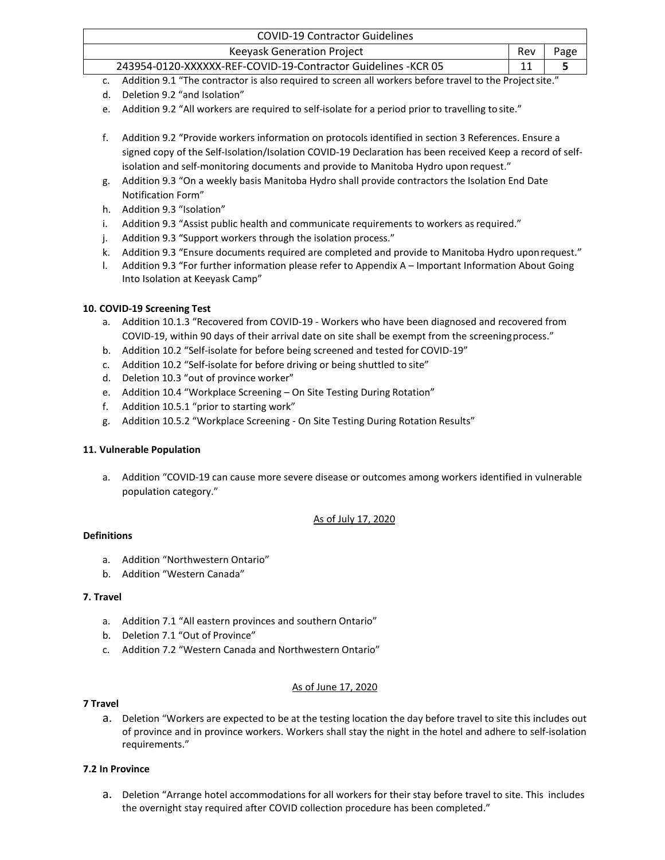| <b>COVID-19 Contractor Guidelines</b>                          |     |  |
|----------------------------------------------------------------|-----|--|
| Keeyask Generation Project                                     | Rev |  |
| 243954-0120-XXXXXX-REF-COVID-19-Contractor Guidelines - KCR 05 |     |  |

- c. Addition 9.1 "The contractor is also required to screen all workers before travel to the Projectsite."
- d. Deletion 9.2 "and Isolation"
- e. Addition 9.2 "All workers are required to self-isolate for a period prior to travelling tosite."
- f. Addition 9.2 "Provide workers information on protocols identified in section 3 References. Ensure a signed copy of the Self-Isolation/Isolation COVID-19 Declaration has been received Keep a record of selfisolation and self-monitoring documents and provide to Manitoba Hydro upon request."
- g. Addition 9.3 "On a weekly basis Manitoba Hydro shall provide contractors the Isolation End Date Notification Form"
- h. Addition 9.3 "Isolation"
- i. Addition 9.3 "Assist public health and communicate requirements to workers as required."
- j. Addition 9.3 "Support workers through the isolation process."
- k. Addition 9.3 "Ensure documents required are completed and provide to Manitoba Hydro uponrequest."
- l. Addition 9.3 "For further information please refer to Appendix A Important Information About Going Into Isolation at Keeyask Camp"

### **10. COVID-19 Screening Test**

- a. Addition 10.1.3 "Recovered from COVID-19 Workers who have been diagnosed and recovered from COVID-19, within 90 days of their arrival date on site shall be exempt from the screeningprocess."
- b. Addition 10.2 "Self-isolate for before being screened and tested for COVID-19"
- c. Addition 10.2 "Self-isolate for before driving or being shuttled to site"
- d. Deletion 10.3 "out of province worker"
- e. Addition 10.4 "Workplace Screening On Site Testing During Rotation"
- f. Addition 10.5.1 "prior to starting work"
- g. Addition 10.5.2 "Workplace Screening On Site Testing During Rotation Results"

### **11. Vulnerable Population**

a. Addition "COVID-19 can cause more severe disease or outcomes among workers identified in vulnerable population category."

### As of July 17, 2020

#### **Definitions**

- a. Addition "Northwestern Ontario"
- b. Addition "Western Canada"

### **7. Travel**

- a. Addition 7.1 "All eastern provinces and southern Ontario"
- b. Deletion 7.1 "Out of Province"
- c. Addition 7.2 "Western Canada and Northwestern Ontario"

### As of June 17, 2020

#### **7 Travel**

a. Deletion "Workers are expected to be at the testing location the day before travel to site this includes out of province and in province workers. Workers shall stay the night in the hotel and adhere to self-isolation requirements."

### **7.2 In Province**

a. Deletion "Arrange hotel accommodations for all workers for their stay before travel to site. This includes the overnight stay required after COVID collection procedure has been completed."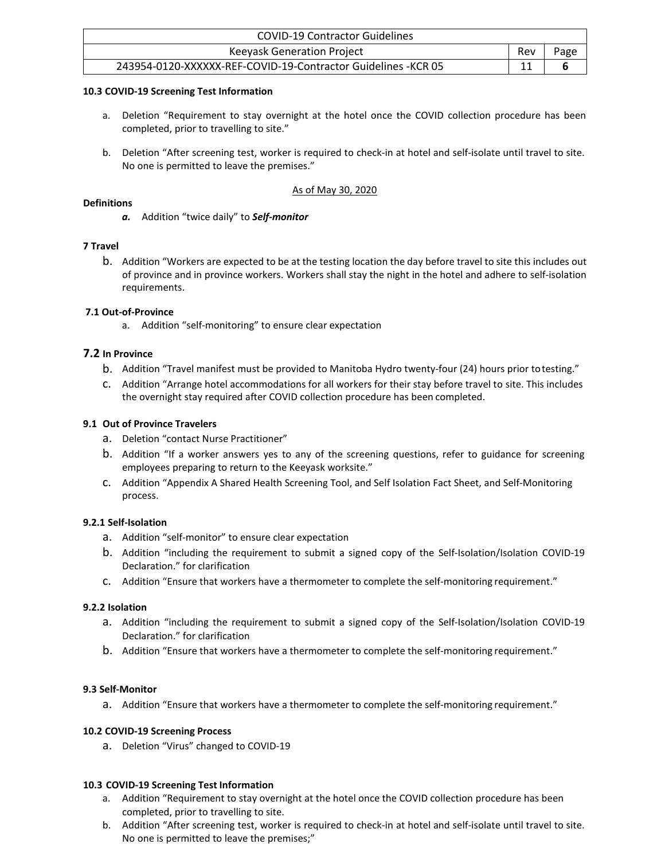| <b>COVID-19 Contractor Guidelines</b>                          |            |      |
|----------------------------------------------------------------|------------|------|
| <b>Keevask Generation Project</b>                              | <b>Rev</b> | Page |
| 243954-0120-XXXXXX-REF-COVID-19-Contractor Guidelines - KCR 05 |            |      |

#### **10.3 COVID-19 Screening Test Information**

- a. Deletion "Requirement to stay overnight at the hotel once the COVID collection procedure has been completed, prior to travelling to site."
- b. Deletion "After screening test, worker is required to check-in at hotel and self-isolate until travel to site. No one is permitted to leave the premises."

### As of May 30, 2020

#### **Definitions**

*a.* Addition "twice daily" to *Self-monitor*

#### **7 Travel**

b. Addition "Workers are expected to be at the testing location the day before travel to site this includes out of province and in province workers. Workers shall stay the night in the hotel and adhere to self-isolation requirements.

#### **7.1 Out-of-Province**

a. Addition "self-monitoring" to ensure clear expectation

#### **7.2 In Province**

- b. Addition "Travel manifest must be provided to Manitoba Hydro twenty-four (24) hours prior totesting."
- c. Addition "Arrange hotel accommodations for all workers for their stay before travel to site. This includes the overnight stay required after COVID collection procedure has been completed.

#### **9.1 Out of Province Travelers**

- a. Deletion "contact Nurse Practitioner"
- b. Addition "If a worker answers yes to any of the screening questions, refer to guidance for screening employees preparing to return to the Keeyask worksite."
- c. Addition "Appendix A Shared Health Screening Tool, and Self Isolation Fact Sheet, and Self-Monitoring process.

### **9.2.1 Self-Isolation**

- a. Addition "self-monitor" to ensure clear expectation
- b. Addition "including the requirement to submit a signed copy of the Self-Isolation/Isolation COVID-19 Declaration." for clarification
- c. Addition "Ensure that workers have a thermometer to complete the self-monitoring requirement."

#### **9.2.2 Isolation**

- a. Addition "including the requirement to submit a signed copy of the Self-Isolation/Isolation COVID-19 Declaration." for clarification
- b. Addition "Ensure that workers have a thermometer to complete the self-monitoring requirement."

### **9.3 Self-Monitor**

a. Addition "Ensure that workers have a thermometer to complete the self-monitoring requirement."

### **10.2 COVID-19 Screening Process**

a. Deletion "Virus" changed to COVID-19

#### **10.3 COVID-19 Screening Test Information**

- a. Addition "Requirement to stay overnight at the hotel once the COVID collection procedure has been completed, prior to travelling to site.
- b. Addition "After screening test, worker is required to check-in at hotel and self-isolate until travel to site. No one is permitted to leave the premises;"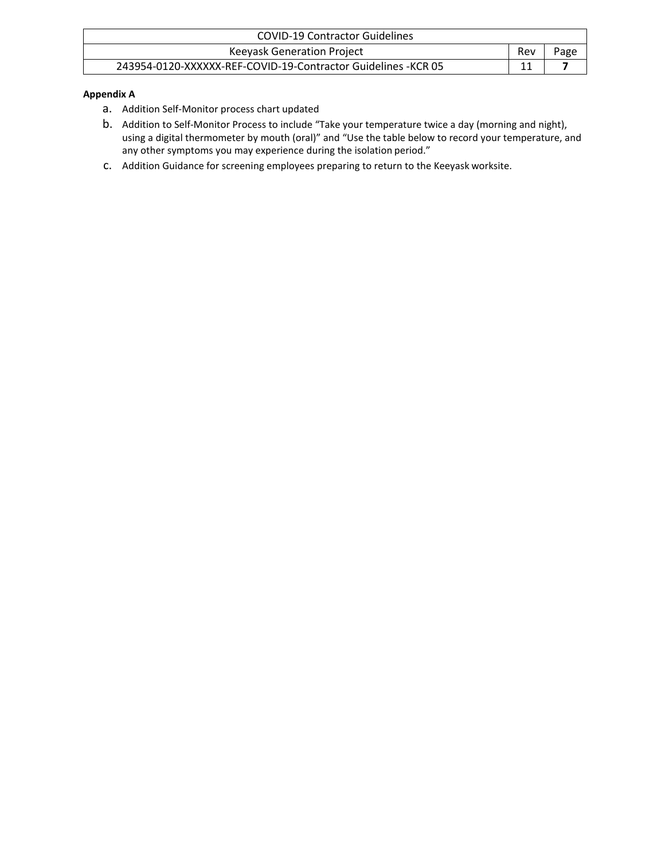| <b>COVID-19 Contractor Guidelines</b>                          |     |             |
|----------------------------------------------------------------|-----|-------------|
| Keeyask Generation Project                                     | Rev | <b>Page</b> |
| 243954-0120-XXXXXX-REF-COVID-19-Contractor Guidelines - KCR 05 |     |             |

### **Appendix A**

- a. Addition Self-Monitor process chart updated
- b. Addition to Self-Monitor Process to include "Take your temperature twice a day (morning and night), using a digital thermometer by mouth (oral)" and "Use the table below to record your temperature, and any other symptoms you may experience during the isolation period."
- c. Addition Guidance for screening employees preparing to return to the Keeyask worksite.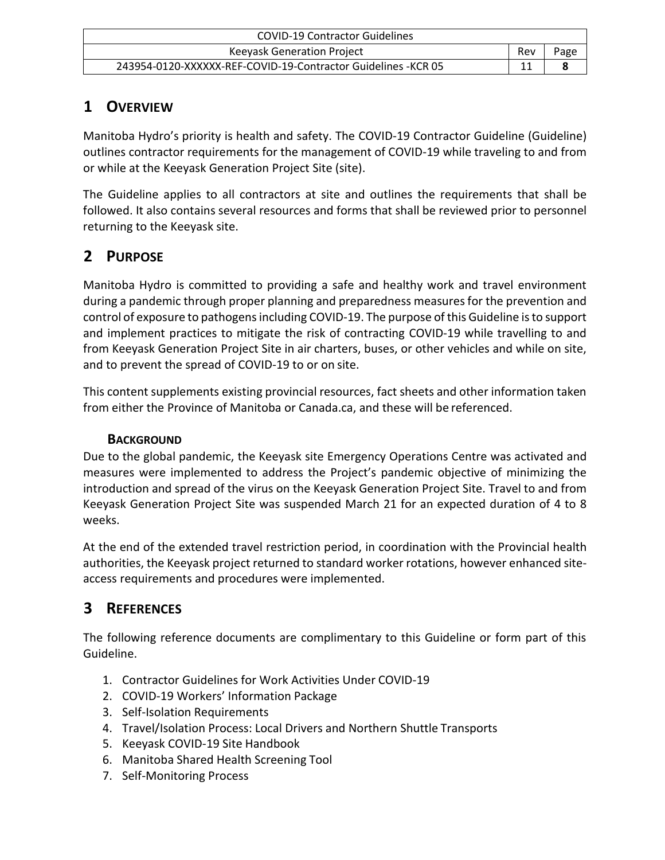| <b>COVID-19 Contractor Guidelines</b>                          |     |      |
|----------------------------------------------------------------|-----|------|
| <b>Keevask Generation Project</b>                              | Rev | Page |
| 243954-0120-XXXXXX-REF-COVID-19-Contractor Guidelines - KCR 05 |     |      |

# <span id="page-7-0"></span>**1 OVERVIEW**

Manitoba Hydro's priority is health and safety. The COVID-19 Contractor Guideline (Guideline) outlines contractor requirements for the management of COVID-19 while traveling to and from or while at the Keeyask Generation Project Site (site).

The Guideline applies to all contractors at site and outlines the requirements that shall be followed. It also contains several resources and forms that shall be reviewed prior to personnel returning to the Keeyask site.

# <span id="page-7-1"></span>**2 PURPOSE**

Manitoba Hydro is committed to providing a safe and healthy work and travel environment during a pandemic through proper planning and preparedness measuresfor the prevention and control of exposure to pathogens including COVID-19. The purpose of this Guideline is to support and implement practices to mitigate the risk of contracting COVID-19 while travelling to and from Keeyask Generation Project Site in air charters, buses, or other vehicles and while on site, and to prevent the spread of COVID-19 to or on site.

This content supplements existing provincial resources, fact sheets and other information taken from either the Province of Manitoba or Canada.ca, and these will be referenced.

# **BACKGROUND**

Due to the global pandemic, the Keeyask site Emergency Operations Centre was activated and measures were implemented to address the Project's pandemic objective of minimizing the introduction and spread of the virus on the Keeyask Generation Project Site. Travel to and from Keeyask Generation Project Site was suspended March 21 for an expected duration of 4 to 8 weeks.

At the end of the extended travel restriction period, in coordination with the Provincial health authorities, the Keeyask project returned to standard worker rotations, however enhanced siteaccess requirements and procedures were implemented.

# <span id="page-7-2"></span>**3 REFERENCES**

The following reference documents are complimentary to this Guideline or form part of this Guideline.

- 1. Contractor Guidelines for Work Activities Under COVID-19
- 2. COVID-19 Workers' Information Package
- 3. Self-Isolation Requirements
- 4. Travel/Isolation Process: Local Drivers and Northern Shuttle Transports
- 5. Keeyask COVID-19 Site Handbook
- 6. Manitoba Shared Health Screening Tool
- 7. Self-Monitoring Process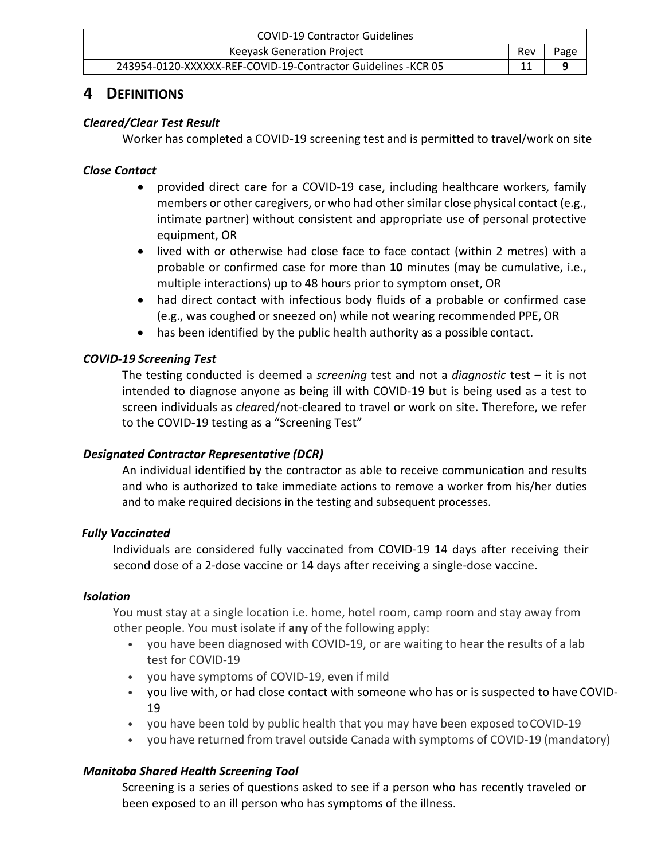| <b>COVID-19 Contractor Guidelines</b>                          |     |      |
|----------------------------------------------------------------|-----|------|
| <b>Keevask Generation Project</b>                              | Rev | Page |
| 243954-0120-XXXXXX-REF-COVID-19-Contractor Guidelines - KCR 05 |     |      |

# <span id="page-8-0"></span>**4 DEFINITIONS**

# *Cleared/Clear Test Result*

Worker has completed a COVID-19 screening test and is permitted to travel/work on site

# *Close Contact*

- provided direct care for a COVID-19 case, including healthcare workers, family members or other caregivers, or who had other similar close physical contact (e.g., intimate partner) without consistent and appropriate use of personal protective equipment, OR
- lived with or otherwise had close face to face contact (within 2 metres) with a probable or confirmed case for more than **10** minutes (may be cumulative, i.e., multiple interactions) up to 48 hours prior to symptom onset, OR
- had direct contact with infectious body fluids of a probable or confirmed case (e.g., was coughed or sneezed on) while not wearing recommended PPE,OR
- has been identified by the public health authority as a possible contact.

# *COVID-19 Screening Test*

The testing conducted is deemed a *screening* test and not a *diagnostic* test – it is not intended to diagnose anyone as being ill with COVID-19 but is being used as a test to screen individuals as *clear*ed/not-cleared to travel or work on site. Therefore, we refer to the COVID-19 testing as a "Screening Test"

# *Designated Contractor Representative (DCR)*

An individual identified by the contractor as able to receive communication and results and who is authorized to take immediate actions to remove a worker from his/her duties and to make required decisions in the testing and subsequent processes.

# *Fully Vaccinated*

Individuals are considered fully vaccinated from COVID-19 14 days after receiving their second dose of a 2-dose vaccine or 14 days after receiving a single-dose vaccine.

# *Isolation*

You must stay at a single location i.e. home, hotel room, camp room and stay away from other people. You must isolate if **any** of the following apply:

- you have been diagnosed with COVID-19, or are waiting to hear the results of a lab test for COVID-19
- you have symptoms of COVID-19, even if mild
- you live with, or had close contact with someone who has or is suspected to have COVID-19
- you have been told by public health that you may have been exposed toCOVID-19
- you have returned from travel outside Canada with symptoms of COVID-19 (mandatory)

# *Manitoba Shared Health Screening Tool*

Screening is a series of questions asked to see if a person who has recently traveled or been exposed to an ill person who has symptoms of the illness.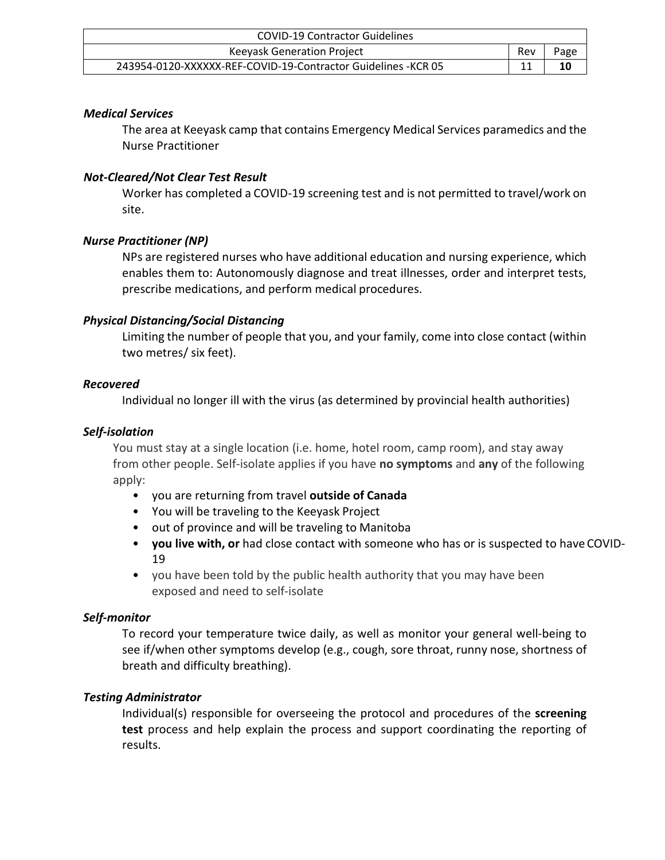| <b>COVID-19 Contractor Guidelines</b>                          |     |      |
|----------------------------------------------------------------|-----|------|
| <b>Keeyask Generation Project</b>                              | Rev | Page |
| 243954-0120-XXXXXX-REF-COVID-19-Contractor Guidelines - KCR 05 |     | 10   |

### *Medical Services*

The area at Keeyask camp that contains Emergency Medical Services paramedics and the Nurse Practitioner

### *Not-Cleared/Not Clear Test Result*

Worker has completed a COVID-19 screening test and is not permitted to travel/work on site.

### *Nurse Practitioner (NP)*

NPs are registered nurses who have additional education and nursing experience, which enables them to: Autonomously diagnose and treat illnesses, order and interpret tests, prescribe medications, and perform medical procedures.

### *Physical Distancing/Social Distancing*

Limiting the number of people that you, and your family, come into close contact (within two metres/ six feet).

### *Recovered*

Individual no longer ill with the virus (as determined by provincial health authorities)

### *Self-isolation*

You must stay at a single location (i.e. home, hotel room, camp room), and stay away from other people. Self-isolate applies if you have **no symptoms** and **any** of the following apply:

- you are returning from travel **outside of Canada**
- You will be traveling to the Keeyask Project
- out of province and will be traveling to Manitoba
- **you live with, or** had close contact with someone who has or is suspected to have COVID-19
- you have been told by the public health authority that you may have been exposed and need to self-isolate

# *Self-monitor*

To record your temperature twice daily, as well as monitor your general well-being to see if/when other symptoms develop (e.g., cough, sore throat, runny nose, shortness of breath and difficulty breathing).

# *Testing Administrator*

Individual(s) responsible for overseeing the protocol and procedures of the **screening test** process and help explain the process and support coordinating the reporting of results.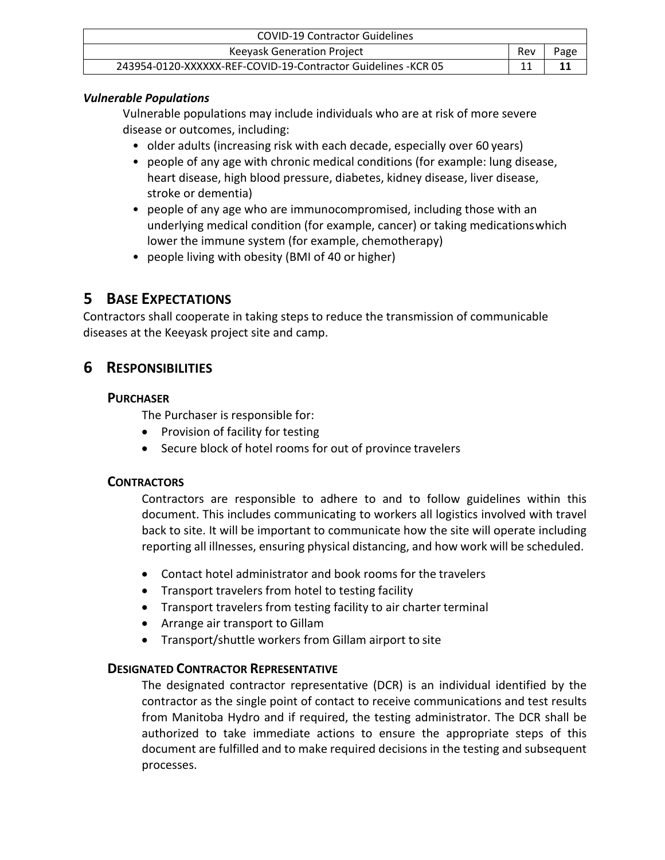| <b>COVID-19 Contractor Guidelines</b>                          |     |      |
|----------------------------------------------------------------|-----|------|
| Keeyask Generation Project                                     | Rev | Page |
| 243954-0120-XXXXXX-REF-COVID-19-Contractor Guidelines - KCR 05 |     |      |

## *Vulnerable Populations*

Vulnerable populations may include individuals who are at risk of more severe disease or outcomes, including:

- older adults (increasing risk with each decade, especially over 60 years)
- people of any age with chronic medical conditions (for example: lung disease, heart disease, high blood pressure, diabetes, kidney disease, liver disease, stroke or dementia)
- people of any age who are immunocompromised, including those with an underlying medical condition (for example, cancer) or taking medicationswhich lower the immune system (for example, chemotherapy)
- people living with obesity (BMI of 40 or higher)

# <span id="page-10-0"></span>**5 BASE EXPECTATIONS**

Contractors shall cooperate in taking steps to reduce the transmission of communicable diseases at the Keeyask project site and camp.

# <span id="page-10-1"></span>**6 RESPONSIBILITIES**

# **PURCHASER**

The Purchaser is responsible for:

- Provision of facility for testing
- Secure block of hotel rooms for out of province travelers

# **CONTRACTORS**

Contractors are responsible to adhere to and to follow guidelines within this document. This includes communicating to workers all logistics involved with travel back to site. It will be important to communicate how the site will operate including reporting all illnesses, ensuring physical distancing, and how work will be scheduled.

- Contact hotel administrator and book rooms for the travelers
- Transport travelers from hotel to testing facility
- Transport travelers from testing facility to air charter terminal
- Arrange air transport to Gillam
- Transport/shuttle workers from Gillam airport to site

# **DESIGNATED CONTRACTOR REPRESENTATIVE**

The designated contractor representative (DCR) is an individual identified by the contractor as the single point of contact to receive communications and test results from Manitoba Hydro and if required, the testing administrator. The DCR shall be authorized to take immediate actions to ensure the appropriate steps of this document are fulfilled and to make required decisions in the testing and subsequent processes.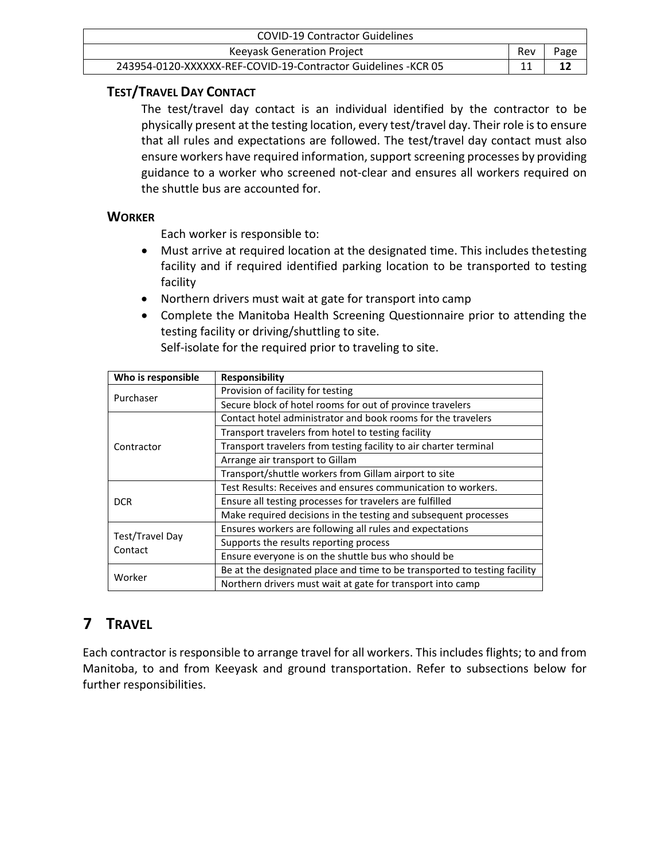| <b>COVID-19 Contractor Guidelines</b>                          |     |      |
|----------------------------------------------------------------|-----|------|
| Keeyask Generation Project                                     | Rev | Page |
| 243954-0120-XXXXXX-REF-COVID-19-Contractor Guidelines - KCR 05 |     |      |

# **TEST/TRAVEL DAY CONTACT**

The test/travel day contact is an individual identified by the contractor to be physically present at the testing location, every test/travel day. Their role isto ensure that all rules and expectations are followed. The test/travel day contact must also ensure workers have required information, support screening processes by providing guidance to a worker who screened not-clear and ensures all workers required on the shuttle bus are accounted for.

# **WORKER**

Each worker is responsible to:

- Must arrive at required location at the designated time. This includes thetesting facility and if required identified parking location to be transported to testing facility
- Northern drivers must wait at gate for transport into camp
- Complete the Manitoba Health Screening Questionnaire prior to attending the testing facility or driving/shuttling to site.

Self-isolate for the required prior to traveling to site.

| Who is responsible         | Responsibility                                                            |
|----------------------------|---------------------------------------------------------------------------|
| Purchaser                  | Provision of facility for testing                                         |
|                            | Secure block of hotel rooms for out of province travelers                 |
|                            | Contact hotel administrator and book rooms for the travelers              |
|                            | Transport travelers from hotel to testing facility                        |
| Contractor                 | Transport travelers from testing facility to air charter terminal         |
|                            | Arrange air transport to Gillam                                           |
|                            | Transport/shuttle workers from Gillam airport to site                     |
|                            | Test Results: Receives and ensures communication to workers.              |
| <b>DCR</b>                 | Ensure all testing processes for travelers are fulfilled                  |
|                            | Make required decisions in the testing and subsequent processes           |
|                            | Ensures workers are following all rules and expectations                  |
| Test/Travel Day<br>Contact | Supports the results reporting process                                    |
|                            | Ensure everyone is on the shuttle bus who should be                       |
| Worker                     | Be at the designated place and time to be transported to testing facility |
|                            | Northern drivers must wait at gate for transport into camp                |

# <span id="page-11-0"></span>**7 TRAVEL**

Each contractor is responsible to arrange travel for all workers. This includes flights; to and from Manitoba, to and from Keeyask and ground transportation. Refer to subsections below for further responsibilities.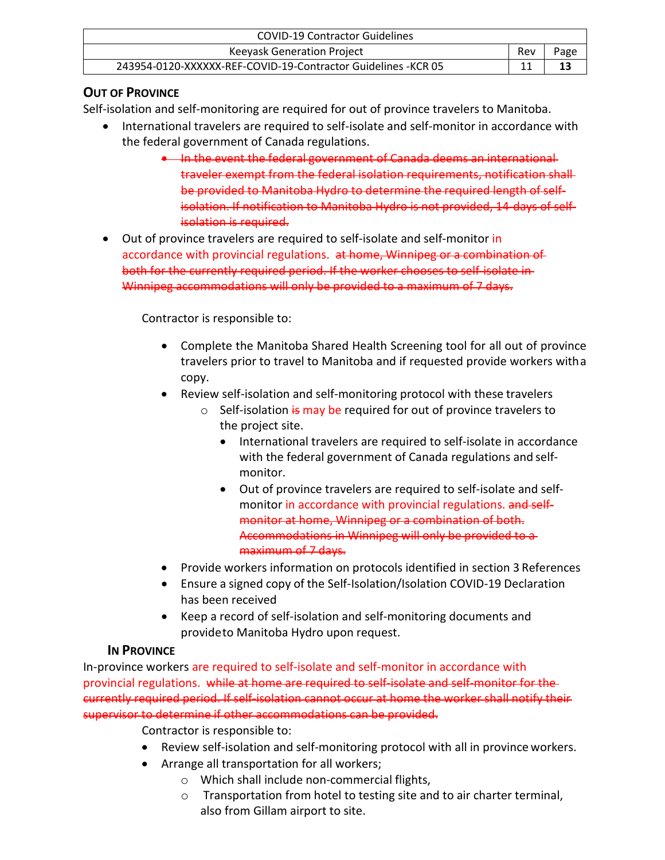| <b>COVID-19 Contractor Guidelines</b>                          |     |      |
|----------------------------------------------------------------|-----|------|
| Keeyask Generation Project                                     | Rev | Page |
| 243954-0120-XXXXXX-REF-COVID-19-Contractor Guidelines - KCR 05 |     | 13   |

# **OUT OF PROVINCE**

Self-isolation and self-monitoring are required for out of province travelers to Manitoba.

- International travelers are required to self-isolate and self-monitor in accordance with the federal government of Canada regulations.
	- In the event the federal government of Canada deems an international traveler exempt from the federal isolation requirements, notification shall be provided to Manitoba Hydro to determine the required length of selfisolation. If notification to Manitoba Hydro is not provided, 14-days of selfisolation is required.
- Out of province travelers are required to self-isolate and self-monitor in accordance with provincial regulations. at home, Winnipeg or a combination of both for the currently required period. If the worker chooses to self-isolate in Winnipeg accommodations will only be provided to a maximum of 7 days.

Contractor is responsible to:

- Complete the Manitoba Shared Health Screening tool for all out of province travelers prior to travel to Manitoba and if requested provide workers witha copy.
- Review self-isolation and self-monitoring protocol with these travelers
	- $\circ$  Self-isolation  $\frac{1}{2}$  may be required for out of province travelers to the project site.
		- International travelers are required to self-isolate in accordance with the federal government of Canada regulations and selfmonitor.
		- Out of province travelers are required to self-isolate and selfmonitor in accordance with provincial regulations. and selfmonitor at home, Winnipeg or a combination of both. Accommodations in Winnipeg will only be provided to a maximum of 7 days.
- Provide workers information on protocols identified in section 3 References
- Ensure a signed copy of the Self-Isolation/Isolation COVID-19 Declaration has been received
- Keep a record of self-isolation and self-monitoring documents and provideto Manitoba Hydro upon request.

# **IN PROVINCE**

In-province workers are required to self-isolate and self-monitor in accordance with provincial regulations. while at home are required to self-isolate and self-monitor for the currently required period. If self-isolation cannot occur at home the worker shall notify their supervisor to determine if other accommodations can be provided.

Contractor is responsible to:

- Review self-isolation and self-monitoring protocol with all in province workers.
- Arrange all transportation for all workers;
	- o Which shall include non-commercial flights,
	- o Transportation from hotel to testing site and to air charter terminal, also from Gillam airport to site.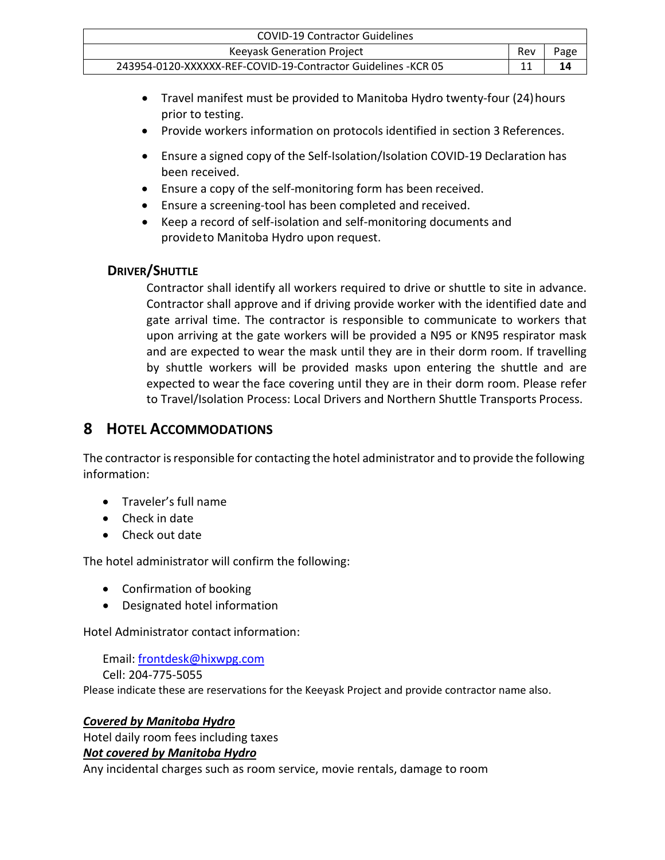| <b>COVID-19 Contractor Guidelines</b>                          |     |      |
|----------------------------------------------------------------|-----|------|
| <b>Keeyask Generation Project</b>                              | Rev | Page |
| 243954-0120-XXXXXX-REF-COVID-19-Contractor Guidelines - KCR 05 |     | 14   |

- Travel manifest must be provided to Manitoba Hydro twenty-four (24)hours prior to testing.
- Provide workers information on protocols identified in section 3 References.
- Ensure a signed copy of the Self-Isolation/Isolation COVID-19 Declaration has been received.
- Ensure a copy of the self-monitoring form has been received.
- Ensure a screening-tool has been completed and received.
- Keep a record of self-isolation and self-monitoring documents and provideto Manitoba Hydro upon request.

# **DRIVER/SHUTTLE**

Contractor shall identify all workers required to drive or shuttle to site in advance. Contractor shall approve and if driving provide worker with the identified date and gate arrival time. The contractor is responsible to communicate to workers that upon arriving at the gate workers will be provided a N95 or KN95 respirator mask and are expected to wear the mask until they are in their dorm room. If travelling by shuttle workers will be provided masks upon entering the shuttle and are expected to wear the face covering until they are in their dorm room. Please refer to Travel/Isolation Process: Local Drivers and Northern Shuttle Transports Process.

# <span id="page-13-0"></span>**8 HOTEL ACCOMMODATIONS**

The contractor is responsible for contacting the hotel administrator and to provide the following information:

- Traveler's full name
- Check in date
- Check out date

The hotel administrator will confirm the following:

- Confirmation of booking
- Designated hotel information

Hotel Administrator contact information:

Email: [frontdesk@hixwpg.com](mailto:frontdesk@hixwpg.com)

Cell: 204-775-5055

Please indicate these are reservations for the Keeyask Project and provide contractor name also.

### *Covered by Manitoba Hydro*

Hotel daily room fees including taxes

### *Not covered by Manitoba Hydro*

Any incidental charges such as room service, movie rentals, damage to room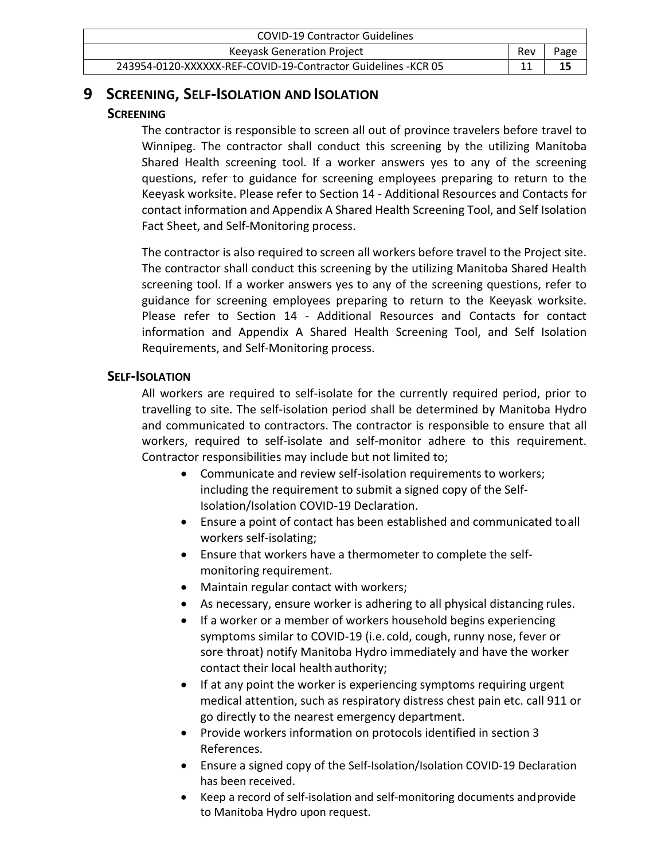| <b>COVID-19 Contractor Guidelines</b>                          |     |      |
|----------------------------------------------------------------|-----|------|
| Keeyask Generation Project                                     | Rev | Page |
| 243954-0120-XXXXXX-REF-COVID-19-Contractor Guidelines - KCR 05 |     | 15   |

# <span id="page-14-0"></span>**9 SCREENING, SELF-ISOLATION AND ISOLATION**

## **SCREENING**

The contractor is responsible to screen all out of province travelers before travel to Winnipeg. The contractor shall conduct this screening by the utilizing Manitoba Shared Health screening tool. If a worker answers yes to any of the screening questions, refer to guidance for screening employees preparing to return to the Keeyask worksite. Please refer to Section 14 - Additional Resources and Contacts for contact information and Appendix A Shared Health Screening Tool, and Self Isolation Fact Sheet, and Self-Monitoring process.

The contractor is also required to screen all workers before travel to the Project site. The contractor shall conduct this screening by the utilizing Manitoba Shared Health screening tool. If a worker answers yes to any of the screening questions, refer to guidance for screening employees preparing to return to the Keeyask worksite. Please refer to Section 14 - Additional Resources and Contacts for contact information and Appendix A Shared Health Screening Tool, and Self Isolation Requirements, and Self-Monitoring process.

# **SELF-ISOLATION**

All workers are required to self-isolate for the currently required period, prior to travelling to site. The self-isolation period shall be determined by Manitoba Hydro and communicated to contractors. The contractor is responsible to ensure that all workers, required to self-isolate and self-monitor adhere to this requirement. Contractor responsibilities may include but not limited to;

- Communicate and review self-isolation requirements to workers; including the requirement to submit a signed copy of the Self-Isolation/Isolation COVID-19 Declaration.
- Ensure a point of contact has been established and communicated toall workers self-isolating;
- Ensure that workers have a thermometer to complete the selfmonitoring requirement.
- Maintain regular contact with workers;
- As necessary, ensure worker is adhering to all physical distancing rules.
- If a worker or a member of workers household begins experiencing symptoms similar to COVID-19 (i.e. cold, cough, runny nose, fever or sore throat) notify Manitoba Hydro immediately and have the worker contact their local health authority;
- If at any point the worker is experiencing symptoms requiring urgent medical attention, such as respiratory distress chest pain etc. call 911 or go directly to the nearest emergency department.
- Provide workers information on protocols identified in section 3 References.
- Ensure a signed copy of the Self-Isolation/Isolation COVID-19 Declaration has been received.
- Keep a record of self-isolation and self-monitoring documents and provide to Manitoba Hydro upon request.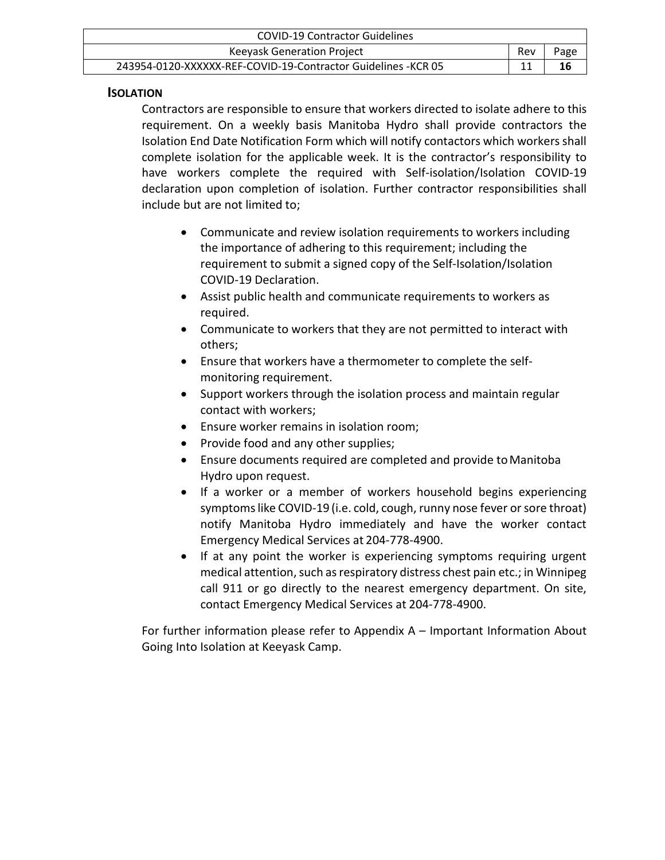| <b>COVID-19 Contractor Guidelines</b>                          |     |      |
|----------------------------------------------------------------|-----|------|
| Keeyask Generation Project                                     | Rev | Page |
| 243954-0120-XXXXXX-REF-COVID-19-Contractor Guidelines - KCR 05 |     | 16   |

### **ISOLATION**

Contractors are responsible to ensure that workers directed to isolate adhere to this requirement. On a weekly basis Manitoba Hydro shall provide contractors the Isolation End Date Notification Form which will notify contactors which workersshall complete isolation for the applicable week. It is the contractor's responsibility to have workers complete the required with Self-isolation/Isolation COVID-19 declaration upon completion of isolation. Further contractor responsibilities shall include but are not limited to;

- Communicate and review isolation requirements to workers including the importance of adhering to this requirement; including the requirement to submit a signed copy of the Self-Isolation/Isolation COVID-19 Declaration.
- Assist public health and communicate requirements to workers as required.
- Communicate to workers that they are not permitted to interact with others;
- Ensure that workers have a thermometer to complete the selfmonitoring requirement.
- Support workers through the isolation process and maintain regular contact with workers;
- Ensure worker remains in isolation room;
- Provide food and any other supplies;
- Ensure documents required are completed and provide toManitoba Hydro upon request.
- If a worker or a member of workers household begins experiencing symptomslike COVID-19 (i.e. cold, cough, runny nose fever or sore throat) notify Manitoba Hydro immediately and have the worker contact Emergency Medical Services at 204-778-4900.
- If at any point the worker is experiencing symptoms requiring urgent medical attention, such as respiratory distress chest pain etc.; in Winnipeg call 911 or go directly to the nearest emergency department. On site, contact Emergency Medical Services at 204-778-4900.

For further information please refer to Appendix A – Important Information About Going Into Isolation at Keeyask Camp.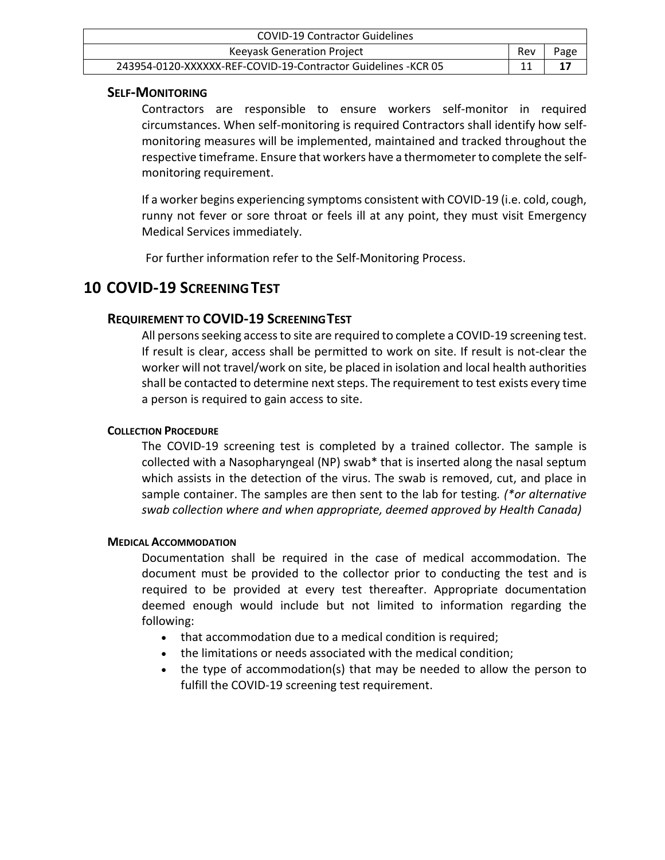| <b>COVID-19 Contractor Guidelines</b>                          |     |      |
|----------------------------------------------------------------|-----|------|
| Keeyask Generation Project                                     | Rev | Page |
| 243954-0120-XXXXXX-REF-COVID-19-Contractor Guidelines - KCR 05 |     |      |

### **SELF-MONITORING**

Contractors are responsible to ensure workers self-monitor in required circumstances. When self-monitoring is required Contractors shall identify how selfmonitoring measures will be implemented, maintained and tracked throughout the respective timeframe. Ensure that workers have a thermometerto complete the selfmonitoring requirement.

If a worker begins experiencing symptoms consistent with COVID-19 (i.e. cold, cough, runny not fever or sore throat or feels ill at any point, they must visit Emergency Medical Services immediately.

For further information refer to the Self-Monitoring Process.

# **10 COVID-19 SCREENINGTEST**

# **REQUIREMENT TO COVID-19 SCREENINGTEST**

All persons seeking access to site are required to complete a COVID-19 screening test. If result is clear, access shall be permitted to work on site. If result is not-clear the worker will not travel/work on site, be placed in isolation and local health authorities shall be contacted to determine next steps. The requirement to test exists every time a person is required to gain access to site.

### **COLLECTION PROCEDURE**

The COVID-19 screening test is completed by a trained collector. The sample is collected with a Nasopharyngeal (NP) swab\* that is inserted along the nasal septum which assists in the detection of the virus. The swab is removed, cut, and place in sample container. The samples are then sent to the lab for testing*. (\*or alternative swab collection where and when appropriate, deemed approved by Health Canada)*

### **MEDICAL ACCOMMODATION**

Documentation shall be required in the case of medical accommodation. The document must be provided to the collector prior to conducting the test and is required to be provided at every test thereafter. Appropriate documentation deemed enough would include but not limited to information regarding the following:

- that accommodation due to a medical condition is required;
- the limitations or needs associated with the medical condition;
- the type of accommodation(s) that may be needed to allow the person to fulfill the COVID-19 screening test requirement.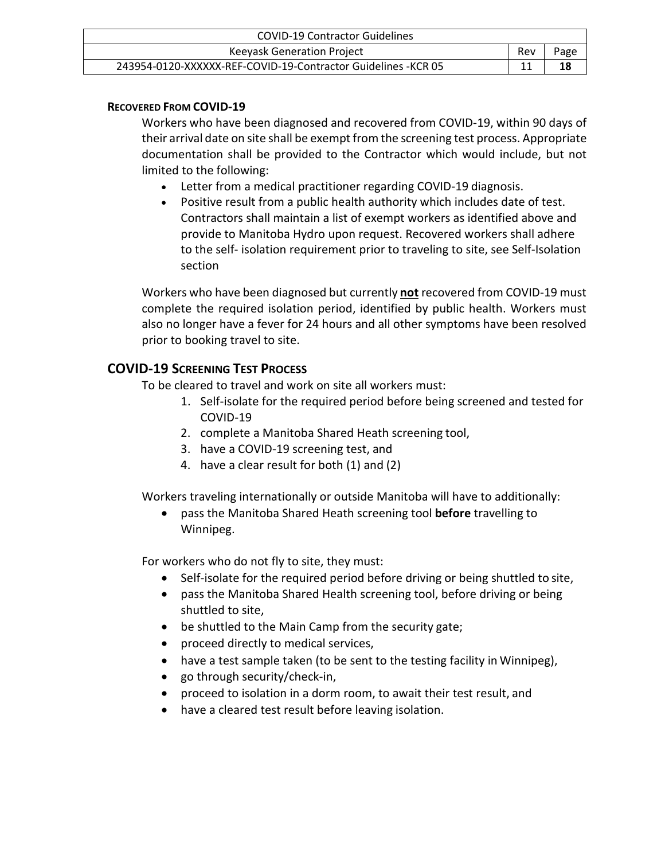| COVID-19 Contractor Guidelines                                 |     |      |
|----------------------------------------------------------------|-----|------|
| <b>Keeyask Generation Project</b>                              | Rev | Page |
| 243954-0120-XXXXXX-REF-COVID-19-Contractor Guidelines - KCR 05 |     | 18   |

## **RECOVERED FROM COVID-19**

Workers who have been diagnosed and recovered from COVID-19, within 90 days of their arrival date on site shall be exempt from the screening test process. Appropriate documentation shall be provided to the Contractor which would include, but not limited to the following:

- Letter from a medical practitioner regarding COVID-19 diagnosis.
- Positive result from a public health authority which includes date of test. Contractors shall maintain a list of exempt workers as identified above and provide to Manitoba Hydro upon request. Recovered workers shall adhere to the self- isolation requirement prior to traveling to site, see Self-Isolation section

Workers who have been diagnosed but currently **not** recovered from COVID-19 must complete the required isolation period, identified by public health. Workers must also no longer have a fever for 24 hours and all other symptoms have been resolved prior to booking travel to site.

# **COVID-19 SCREENING TEST PROCESS**

To be cleared to travel and work on site all workers must:

- 1. Self-isolate for the required period before being screened and tested for COVID-19
- 2. complete a Manitoba Shared Heath screening tool,
- 3. have a COVID-19 screening test, and
- 4. have a clear result for both (1) and (2)

Workers traveling internationally or outside Manitoba will have to additionally:

• pass the Manitoba Shared Heath screening tool **before** travelling to Winnipeg.

For workers who do not fly to site, they must:

- Self-isolate for the required period before driving or being shuttled to site,
- pass the Manitoba Shared Health screening tool, before driving or being shuttled to site,
- be shuttled to the Main Camp from the security gate;
- proceed directly to medical services,
- have a test sample taken (to be sent to the testing facility in Winnipeg),
- go through security/check-in,
- proceed to isolation in a dorm room, to await their test result, and
- have a cleared test result before leaving isolation.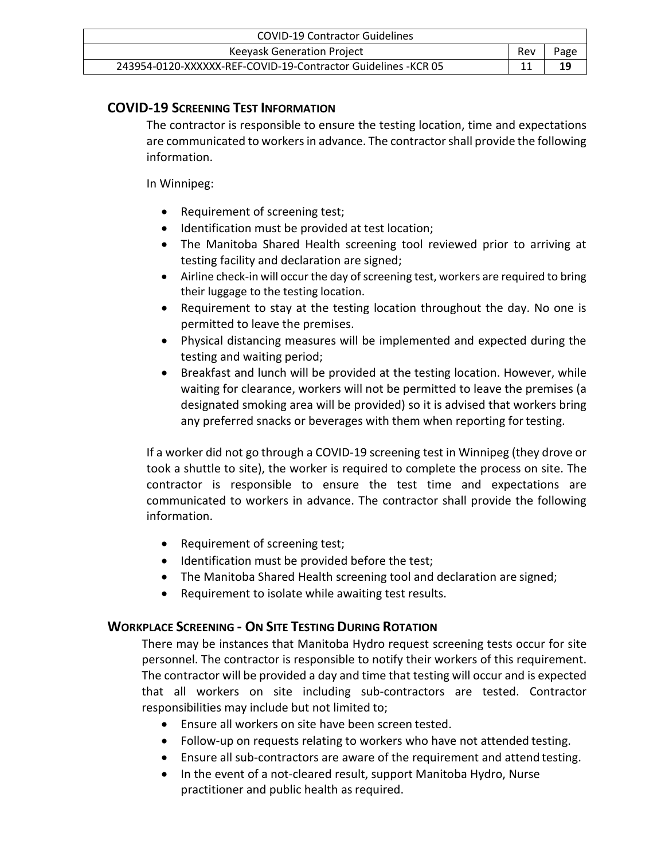| <b>COVID-19 Contractor Guidelines</b>                          |     |      |
|----------------------------------------------------------------|-----|------|
| <b>Keeyask Generation Project</b>                              | Rev | Page |
| 243954-0120-XXXXXX-REF-COVID-19-Contractor Guidelines - KCR 05 |     | 19   |

# **COVID-19 SCREENING TEST INFORMATION**

The contractor is responsible to ensure the testing location, time and expectations are communicated to workersin advance. The contractorshall provide the following information.

### In Winnipeg:

- Requirement of screening test;
- Identification must be provided at test location;
- The Manitoba Shared Health screening tool reviewed prior to arriving at testing facility and declaration are signed;
- Airline check-in will occur the day of screening test, workers are required to bring their luggage to the testing location.
- Requirement to stay at the testing location throughout the day. No one is permitted to leave the premises.
- Physical distancing measures will be implemented and expected during the testing and waiting period;
- Breakfast and lunch will be provided at the testing location. However, while waiting for clearance, workers will not be permitted to leave the premises (a designated smoking area will be provided) so it is advised that workers bring any preferred snacks or beverages with them when reporting for testing.

If a worker did not go through a COVID-19 screening test in Winnipeg (they drove or took a shuttle to site), the worker is required to complete the process on site. The contractor is responsible to ensure the test time and expectations are communicated to workers in advance. The contractor shall provide the following information.

- Requirement of screening test;
- Identification must be provided before the test;
- The Manitoba Shared Health screening tool and declaration are signed;
- Requirement to isolate while awaiting test results.

# **WORKPLACE SCREENING - ON SITE TESTING DURING ROTATION**

There may be instances that Manitoba Hydro request screening tests occur for site personnel. The contractor is responsible to notify their workers of this requirement. The contractor will be provided a day and time that testing will occur and is expected that all workers on site including sub-contractors are tested. Contractor responsibilities may include but not limited to;

- Ensure all workers on site have been screen tested.
- Follow-up on requests relating to workers who have not attended testing.
- Ensure all sub-contractors are aware of the requirement and attend testing.
- In the event of a not-cleared result, support Manitoba Hydro, Nurse practitioner and public health as required.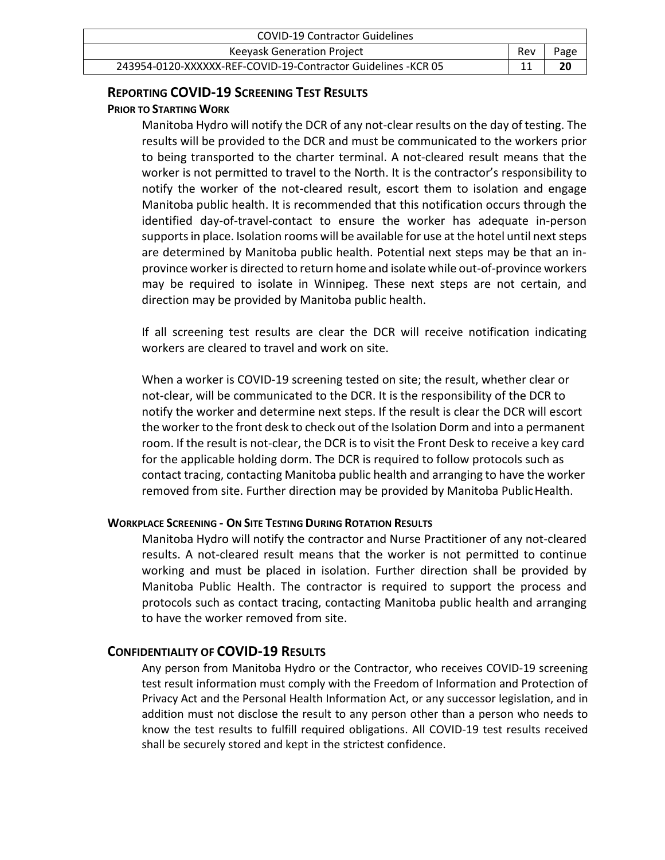| <b>COVID-19 Contractor Guidelines</b>                          |     |      |
|----------------------------------------------------------------|-----|------|
| <b>Keeyask Generation Project</b>                              | Rev | Page |
| 243954-0120-XXXXXX-REF-COVID-19-Contractor Guidelines - KCR 05 |     | 20   |

### **REPORTING COVID-19 SCREENING TEST RESULTS**

### **PRIOR TO STARTING WORK**

Manitoba Hydro will notify the DCR of any not-clear results on the day of testing. The results will be provided to the DCR and must be communicated to the workers prior to being transported to the charter terminal. A not-cleared result means that the worker is not permitted to travel to the North. It is the contractor's responsibility to notify the worker of the not-cleared result, escort them to isolation and engage Manitoba public health. It is recommended that this notification occurs through the identified day-of-travel-contact to ensure the worker has adequate in-person supports in place. Isolation rooms will be available for use at the hotel until next steps are determined by Manitoba public health. Potential next steps may be that an inprovince worker is directed to return home and isolate while out-of-province workers may be required to isolate in Winnipeg. These next steps are not certain, and direction may be provided by Manitoba public health.

If all screening test results are clear the DCR will receive notification indicating workers are cleared to travel and work on site.

When a worker is COVID-19 screening tested on site; the result, whether clear or not-clear, will be communicated to the DCR. It is the responsibility of the DCR to notify the worker and determine next steps. If the result is clear the DCR will escort the worker to the front desk to check out of the Isolation Dorm and into a permanent room. If the result is not-clear, the DCR is to visit the Front Desk to receive a key card for the applicable holding dorm. The DCR is required to follow protocols such as contact tracing, contacting Manitoba public health and arranging to have the worker removed from site. Further direction may be provided by Manitoba PublicHealth.

### **WORKPLACE SCREENING - ON SITE TESTING DURING ROTATION RESULTS**

Manitoba Hydro will notify the contractor and Nurse Practitioner of any not-cleared results. A not-cleared result means that the worker is not permitted to continue working and must be placed in isolation. Further direction shall be provided by Manitoba Public Health. The contractor is required to support the process and protocols such as contact tracing, contacting Manitoba public health and arranging to have the worker removed from site.

# **CONFIDENTIALITY OF COVID-19 RESULTS**

Any person from Manitoba Hydro or the Contractor, who receives COVID-19 screening test result information must comply with the Freedom of Information and Protection of Privacy Act and the Personal Health Information Act, or any successor legislation, and in addition must not disclose the result to any person other than a person who needs to know the test results to fulfill required obligations. All COVID-19 test results received shall be securely stored and kept in the strictest confidence.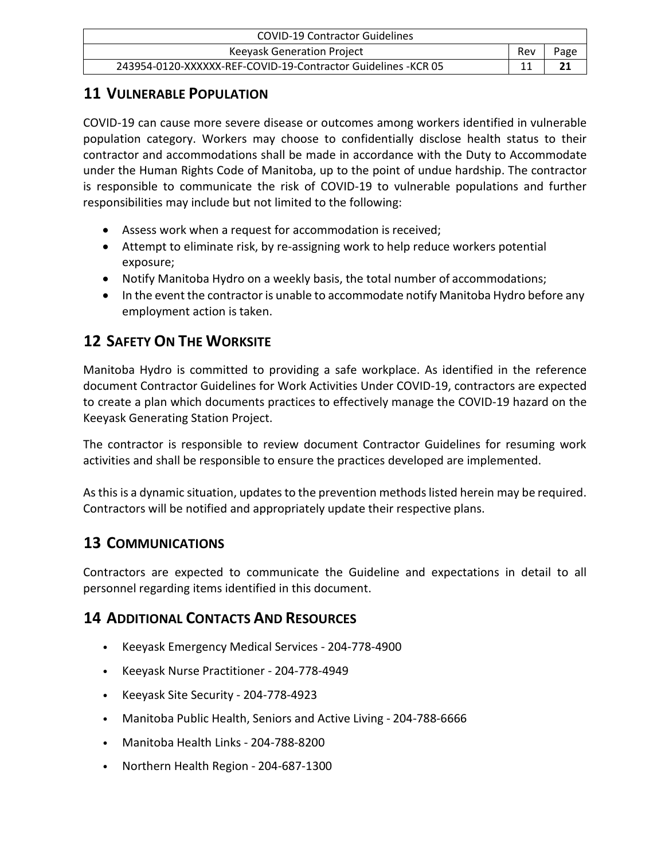| <b>COVID-19 Contractor Guidelines</b>                          |     |      |
|----------------------------------------------------------------|-----|------|
| Keeyask Generation Project                                     | Rev | Page |
| 243954-0120-XXXXXX-REF-COVID-19-Contractor Guidelines - KCR 05 |     |      |

# <span id="page-20-0"></span>**11 VULNERABLE POPULATION**

COVID-19 can cause more severe disease or outcomes among workers identified in vulnerable population category. Workers may choose to confidentially disclose health status to their contractor and accommodations shall be made in accordance with the Duty to Accommodate under the Human Rights Code of Manitoba, up to the point of undue hardship. The contractor is responsible to communicate the risk of COVID-19 to vulnerable populations and further responsibilities may include but not limited to the following:

- Assess work when a request for accommodation is received;
- Attempt to eliminate risk, by re-assigning work to help reduce workers potential exposure;
- Notify Manitoba Hydro on a weekly basis, the total number of accommodations;
- In the event the contractor is unable to accommodate notify Manitoba Hydro before any employment action is taken.

# <span id="page-20-1"></span>**12 SAFETY ON THE WORKSITE**

Manitoba Hydro is committed to providing a safe workplace. As identified in the reference document Contractor Guidelines for Work Activities Under COVID-19, contractors are expected to create a plan which documents practices to effectively manage the COVID-19 hazard on the Keeyask Generating Station Project.

The contractor is responsible to review document Contractor Guidelines for resuming work activities and shall be responsible to ensure the practices developed are implemented.

As this is a dynamic situation, updates to the prevention methods listed herein may be required. Contractors will be notified and appropriately update their respective plans.

# <span id="page-20-2"></span>**13 COMMUNICATIONS**

Contractors are expected to communicate the Guideline and expectations in detail to all personnel regarding items identified in this document.

# <span id="page-20-3"></span>**14 ADDITIONAL CONTACTS AND RESOURCES**

- Keeyask Emergency Medical Services 204-778-4900
- Keeyask Nurse Practitioner 204-778-4949
- Keeyask Site Security 204-778-4923
- Manitoba Public Health, Seniors and Active Living 204-788-6666
- Manitoba Health Links 204-788-8200
- Northern Health Region 204-687-1300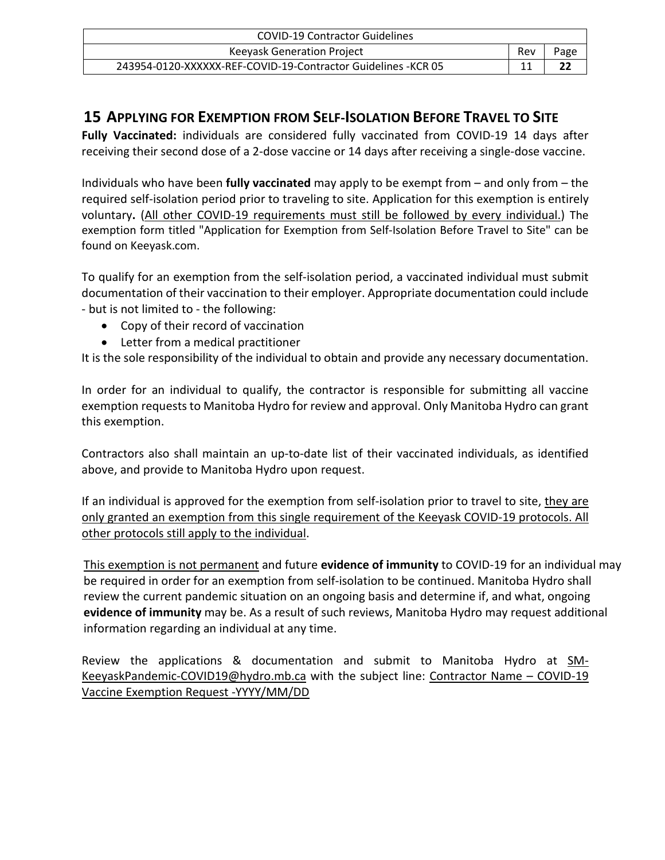| COVID-19 Contractor Guidelines                                 |     |      |
|----------------------------------------------------------------|-----|------|
| <b>Keeyask Generation Project</b>                              | Rev | Page |
| 243954-0120-XXXXXX-REF-COVID-19-Contractor Guidelines - KCR 05 |     |      |

# <span id="page-21-0"></span>**15 APPLYING FOR EXEMPTION FROM SELF-ISOLATION BEFORE TRAVEL TO SITE**

**Fully Vaccinated:** individuals are considered fully vaccinated from COVID-19 14 days after receiving their second dose of a 2-dose vaccine or 14 days after receiving a single-dose vaccine.

Individuals who have been **fully vaccinated** may apply to be exempt from – and only from – the required self-isolation period prior to traveling to site. Application for this exemption is entirely voluntary**.** (All other COVID-19 requirements must still be followed by every individual.) The exemption form titled "Application for Exemption from Self-Isolation Before Travel to Site" can be found on Keeyask.com.

To qualify for an exemption from the self-isolation period, a vaccinated individual must submit documentation of their vaccination to their employer. Appropriate documentation could include - but is not limited to - the following:

- Copy of their record of vaccination
- Letter from a medical practitioner

It is the sole responsibility of the individual to obtain and provide any necessary documentation.

In order for an individual to qualify, the contractor is responsible for submitting all vaccine exemption requests to Manitoba Hydro for review and approval. Only Manitoba Hydro can grant this exemption.

Contractors also shall maintain an up-to-date list of their vaccinated individuals, as identified above, and provide to Manitoba Hydro upon request.

If an individual is approved for the exemption from self-isolation prior to travel to site, they are only granted an exemption from this single requirement of the Keeyask COVID-19 protocols. All other protocols still apply to the individual.

This exemption is not permanent and future **evidence of immunity** to COVID-19 for an individual may be required in order for an exemption from self-isolation to be continued. Manitoba Hydro shall review the current pandemic situation on an ongoing basis and determine if, and what, ongoing **evidence of immunity** may be. As a result of such reviews, Manitoba Hydro may request additional information regarding an individual at any time.

Review the applications & documentation and submit to Manitoba Hydro at [SM-](mailto:SM-KeeyaskPandemic-COVID19@hydro.mb.ca)[KeeyaskPandemic-COVID19@hydro.mb.ca](mailto:SM-KeeyaskPandemic-COVID19@hydro.mb.ca) with the subject line: Contractor Name – COVID-19 Vaccine Exemption Request -YYYY/MM/DD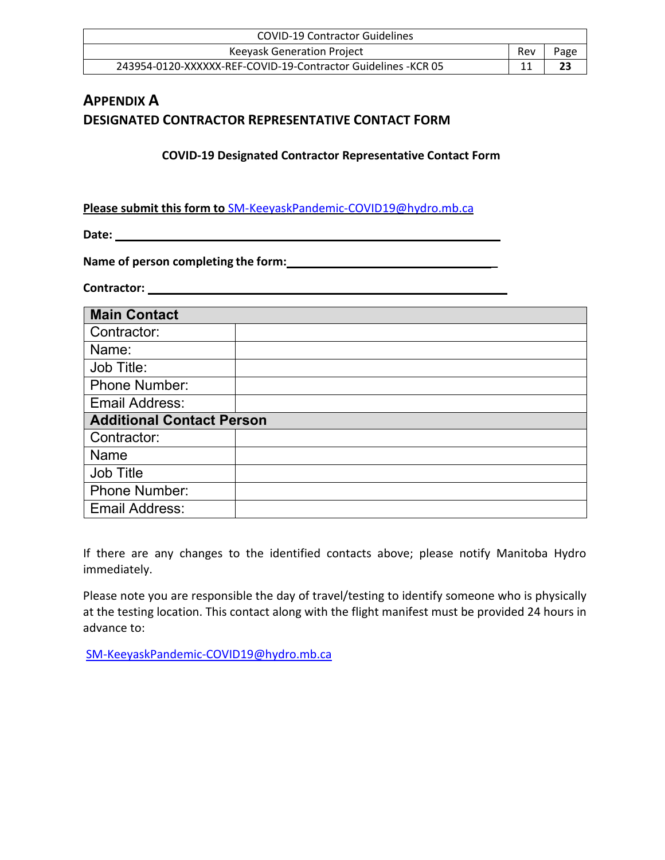| <b>COVID-19 Contractor Guidelines</b>                          |     |      |
|----------------------------------------------------------------|-----|------|
| <b>Keevask Generation Project</b>                              | Rev | Page |
| 243954-0120-XXXXXX-REF-COVID-19-Contractor Guidelines - KCR 05 |     | 23   |

# <span id="page-22-1"></span><span id="page-22-0"></span>**APPENDIX A DESIGNATED CONTRACTOR REPRESENTATIVE CONTACT FORM**

**COVID-19 Designated Contractor Representative Contact Form**

**Please submit this form to** [SM-KeeyaskPandemic-COVID19@hydro.mb.ca](mailto:SM-KeeyaskPandemic-COVID19@hydro.mb.ca)

**Date:** 

**Name of person completing the form: \_** 

**Contractor:** 

| <b>Main Contact</b>              |  |  |
|----------------------------------|--|--|
| Contractor:                      |  |  |
|                                  |  |  |
| Name:                            |  |  |
| Job Title:                       |  |  |
| <b>Phone Number:</b>             |  |  |
| Email Address:                   |  |  |
| <b>Additional Contact Person</b> |  |  |
| Contractor:                      |  |  |
| Name                             |  |  |
| <b>Job Title</b>                 |  |  |
| Phone Number:                    |  |  |
| <b>Email Address:</b>            |  |  |

If there are any changes to the identified contacts above; please notify Manitoba Hydro immediately.

Please note you are responsible the day of travel/testing to identify someone who is physically at the testing location. This contact along with the flight manifest must be provided 24 hours in advance to:

[SM-KeeyaskPandemic-COVID19@hydro.mb.ca](mailto:SM-KeeyaskPandemic-COVID19@hydro.mb.ca)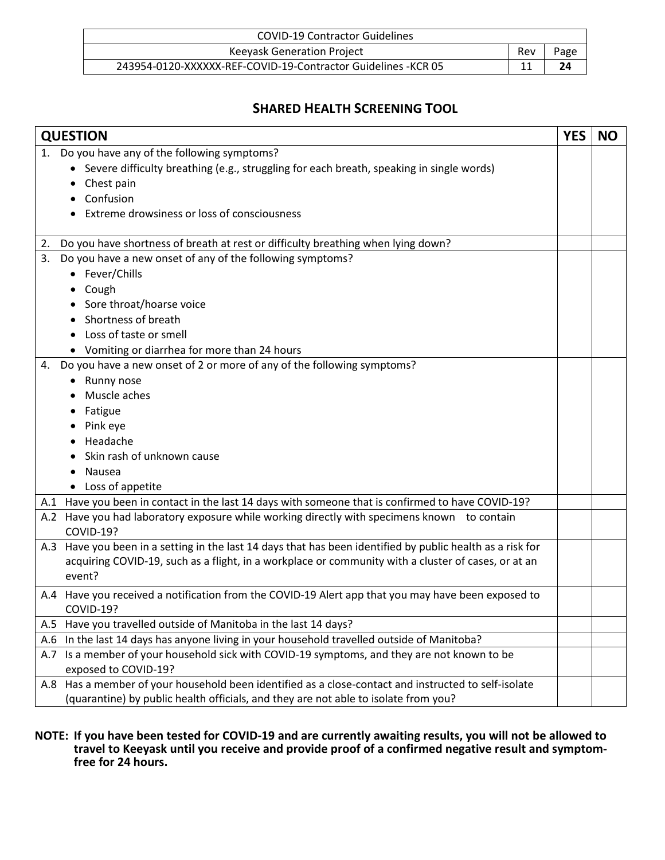| <b>COVID-19 Contractor Guidelines</b>                          |     |      |
|----------------------------------------------------------------|-----|------|
| <b>Keevask Generation Project</b>                              | Rev | Page |
| 243954-0120-XXXXXX-REF-COVID-19-Contractor Guidelines - KCR 05 |     | 24   |

# **SHARED HEALTH SCREENING TOOL**

<span id="page-23-0"></span>

| <b>QUESTION</b>                                                                                            | <b>YES</b> | <b>NO</b> |
|------------------------------------------------------------------------------------------------------------|------------|-----------|
| Do you have any of the following symptoms?<br>1.                                                           |            |           |
| Severe difficulty breathing (e.g., struggling for each breath, speaking in single words)                   |            |           |
| Chest pain                                                                                                 |            |           |
| Confusion                                                                                                  |            |           |
| Extreme drowsiness or loss of consciousness                                                                |            |           |
|                                                                                                            |            |           |
| Do you have shortness of breath at rest or difficulty breathing when lying down?<br>2.                     |            |           |
| Do you have a new onset of any of the following symptoms?<br>3.                                            |            |           |
| Fever/Chills                                                                                               |            |           |
| Cough                                                                                                      |            |           |
| Sore throat/hoarse voice                                                                                   |            |           |
| Shortness of breath                                                                                        |            |           |
| Loss of taste or smell                                                                                     |            |           |
| Vomiting or diarrhea for more than 24 hours                                                                |            |           |
| Do you have a new onset of 2 or more of any of the following symptoms?<br>4.                               |            |           |
| Runny nose                                                                                                 |            |           |
| Muscle aches                                                                                               |            |           |
| Fatigue                                                                                                    |            |           |
| Pink eye                                                                                                   |            |           |
| Headache                                                                                                   |            |           |
| Skin rash of unknown cause                                                                                 |            |           |
| Nausea                                                                                                     |            |           |
| Loss of appetite                                                                                           |            |           |
| A.1 Have you been in contact in the last 14 days with someone that is confirmed to have COVID-19?          |            |           |
| Have you had laboratory exposure while working directly with specimens known to contain<br>A.2             |            |           |
| COVID-19?                                                                                                  |            |           |
| A.3 Have you been in a setting in the last 14 days that has been identified by public health as a risk for |            |           |
| acquiring COVID-19, such as a flight, in a workplace or community with a cluster of cases, or at an        |            |           |
| event?                                                                                                     |            |           |
| A.4 Have you received a notification from the COVID-19 Alert app that you may have been exposed to         |            |           |
| COVID-19?                                                                                                  |            |           |
| A.5 Have you travelled outside of Manitoba in the last 14 days?                                            |            |           |
| In the last 14 days has anyone living in your household travelled outside of Manitoba?<br>A.6              |            |           |
| Is a member of your household sick with COVID-19 symptoms, and they are not known to be<br>A.7             |            |           |
| exposed to COVID-19?                                                                                       |            |           |
| A.8 Has a member of your household been identified as a close-contact and instructed to self-isolate       |            |           |
| (quarantine) by public health officials, and they are not able to isolate from you?                        |            |           |

**NOTE: If you have been tested for COVID-19 and are currently awaiting results, you will not be allowed to travel to Keeyask until you receive and provide proof of a confirmed negative result and symptomfree for 24 hours.**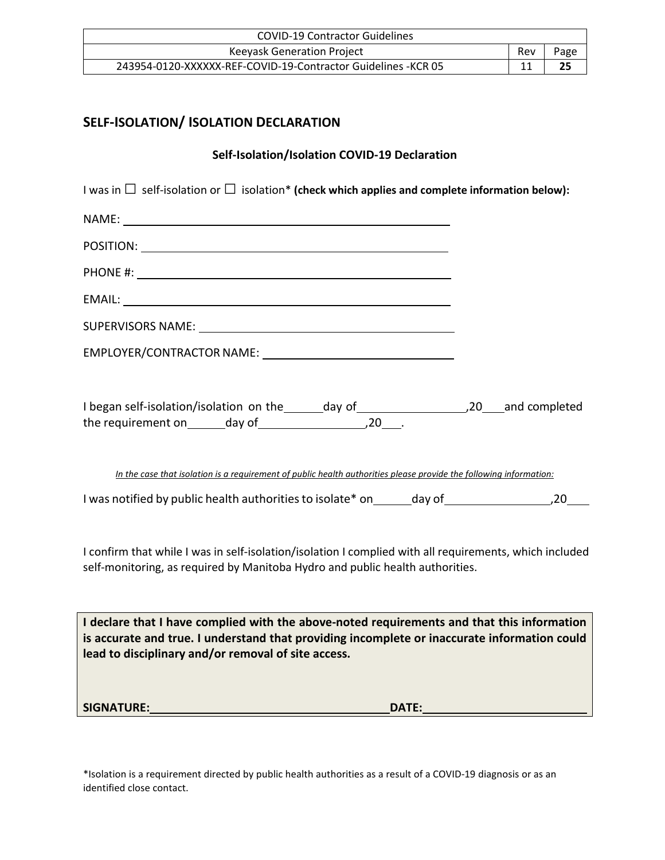| <b>COVID-19 Contractor Guidelines</b>                          |     |      |
|----------------------------------------------------------------|-----|------|
| Keeyask Generation Project                                     | Rev | Page |
| 243954-0120-XXXXXX-REF-COVID-19-Contractor Guidelines - KCR 05 |     | 25   |

# <span id="page-24-0"></span>**SELF-ISOLATION/ ISOLATION DECLARATION**

# **Self-Isolation/Isolation COVID-19 Declaration**

| I was in $\Box$ self-isolation or $\Box$ isolation* (check which applies and complete information below):                                                                                                                                         |  |
|---------------------------------------------------------------------------------------------------------------------------------------------------------------------------------------------------------------------------------------------------|--|
|                                                                                                                                                                                                                                                   |  |
|                                                                                                                                                                                                                                                   |  |
|                                                                                                                                                                                                                                                   |  |
|                                                                                                                                                                                                                                                   |  |
|                                                                                                                                                                                                                                                   |  |
|                                                                                                                                                                                                                                                   |  |
|                                                                                                                                                                                                                                                   |  |
|                                                                                                                                                                                                                                                   |  |
| In the case that isolation is a requirement of public health authorities please provide the following information:                                                                                                                                |  |
|                                                                                                                                                                                                                                                   |  |
| I confirm that while I was in self-isolation/isolation I complied with all requirements, which included<br>self-monitoring, as required by Manitoba Hydro and public health authorities.                                                          |  |
| I declare that I have complied with the above-noted requirements and that this information<br>is accurate and true. I understand that providing incomplete or inaccurate information could<br>lead to disciplinary and/or removal of site access. |  |
|                                                                                                                                                                                                                                                   |  |
|                                                                                                                                                                                                                                                   |  |

\*Isolation is a requirement directed by public health authorities as a result of a COVID-19 diagnosis or as an identified close contact.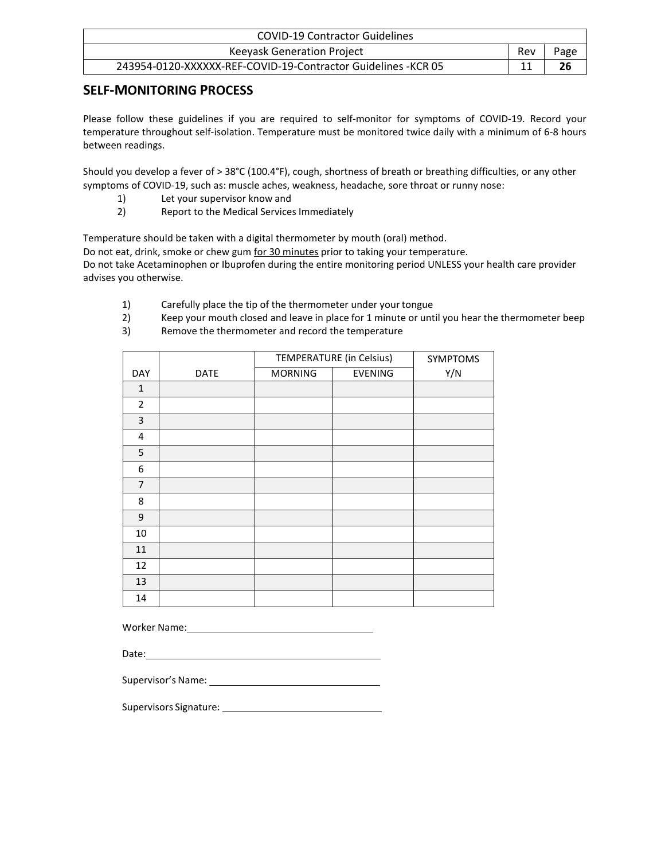| <b>COVID-19 Contractor Guidelines</b>                          |     |      |
|----------------------------------------------------------------|-----|------|
| Keeyask Generation Project                                     | Rev | Page |
| 243954-0120-XXXXXX-REF-COVID-19-Contractor Guidelines - KCR 05 |     | 26   |

# <span id="page-25-0"></span>**SELF-MONITORING PROCESS**

Please follow these guidelines if you are required to self-monitor for symptoms of COVID-19. Record your temperature throughout self-isolation. Temperature must be monitored twice daily with a minimum of 6-8 hours between readings.

Should you develop a fever of > 38°C (100.4°F), cough, shortness of breath or breathing difficulties, or any other symptoms of COVID-19, such as: muscle aches, weakness, headache, sore throat or runny nose:

- 1) Let your supervisor know and
- 2) Report to the Medical Services Immediately

Temperature should be taken with a digital thermometer by mouth (oral) method.

Do not eat, drink, smoke or chew gum for 30 minutes prior to taking your temperature. Do not take Acetaminophen or Ibuprofen during the entire monitoring period UNLESS your health care provider advises you otherwise.

- 1) Carefully place the tip of the thermometer under yourtongue
- 2) Keep your mouth closed and leave in place for 1 minute or until you hear the thermometer beep
- 3) Remove the thermometer and record the temperature

|                |             | TEMPERATURE (in Celsius) |                | SYMPTOMS |
|----------------|-------------|--------------------------|----------------|----------|
| DAY            | <b>DATE</b> | <b>MORNING</b>           | <b>EVENING</b> | Y/N      |
| $\mathbf{1}$   |             |                          |                |          |
| $\overline{2}$ |             |                          |                |          |
| 3              |             |                          |                |          |
| 4              |             |                          |                |          |
| 5              |             |                          |                |          |
| 6              |             |                          |                |          |
| $\overline{7}$ |             |                          |                |          |
| 8              |             |                          |                |          |
| 9              |             |                          |                |          |
| 10             |             |                          |                |          |
| 11             |             |                          |                |          |
| 12             |             |                          |                |          |
| 13             |             |                          |                |          |
| 14             |             |                          |                |          |

Worker Name:

Date:

Supervisor's Name:

Supervisors Signature: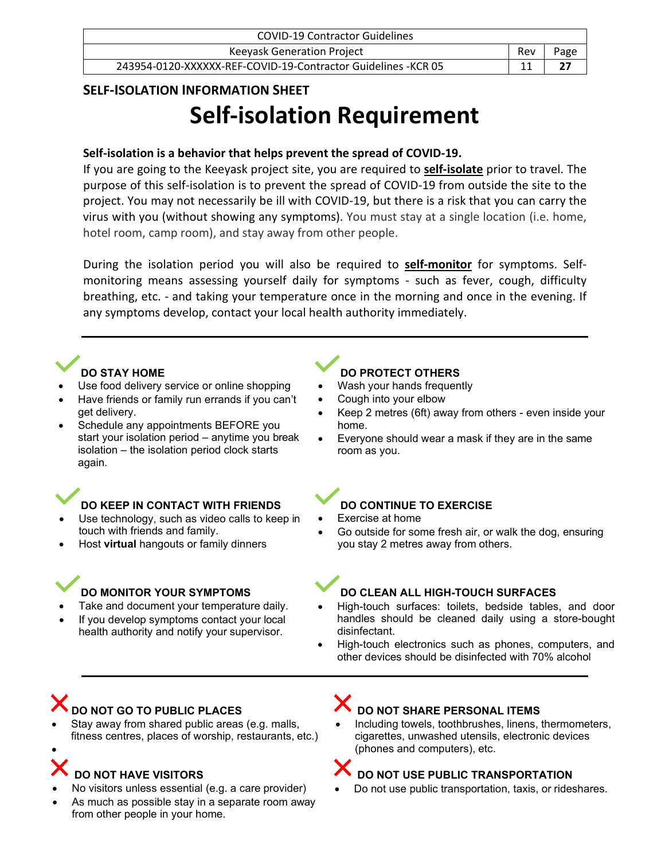| <b>COVID-19 Contractor Guidelines</b>                          |     |      |
|----------------------------------------------------------------|-----|------|
| Keeyask Generation Project                                     | Rev | Page |
| 243954-0120-XXXXXX-REF-COVID-19-Contractor Guidelines - KCR 05 |     |      |

# <span id="page-26-0"></span>**SELF-ISOLATION INFORMATION SHEET**

# **Self-isolation Requirement**

### **Self-isolation is a behavior that helps prevent the spread of COVID-19.**

If you are going to the Keeyask project site, you are required to **self-isolate** prior to travel. The purpose of this self-isolation is to prevent the spread of COVID-19 from outside the site to the project. You may not necessarily be ill with COVID-19, but there is a risk that you can carry the virus with you (without showing any symptoms). You must stay at a single location (i.e. home, hotel room, camp room), and stay away from other people.

During the isolation period you will also be required to **self-monitor** for symptoms. Selfmonitoring means assessing yourself daily for symptoms - such as fever, cough, difficulty breathing, etc. - and taking your temperature once in the morning and once in the evening. If any symptoms develop, contact your local health authority immediately.



- Use food delivery service or online shopping
- Have friends or family run errands if you can't get delivery.
- Schedule any appointments BEFORE you start your isolation period – anytime you break isolation – the isolation period clock starts again.

# **DO KEEP IN CONTACT WITH FRIENDS**

- Use technology, such as video calls to keep in touch with friends and family.
- Host **virtual** hangouts or family dinners

# **DO MONITOR YOUR SYMPTOMS**

- Take and document your temperature daily.
- If you develop symptoms contact your local
- health authority and notify your supervisor.

# **DO PROTECT OTHERS**

- Wash your hands frequently
- Cough into your elbow
- Keep 2 metres (6ft) away from others even inside your home.
- Everyone should wear a mask if they are in the same room as you.

# **DO CONTINUE TO EXERCISE**

- Exercise at home
- Go outside for some fresh air, or walk the dog, ensuring you stay 2 metres away from others.

# **DO CLEAN ALL HIGH-TOUCH SURFACES**

- High-touch surfaces: toilets, bedside tables, and door handles should be cleaned daily using a store-bought disinfectant.
- High-touch electronics such as phones, computers, and other devices should be disinfected with 70% alcohol

# **DO NOT GO TO PUBLIC PLACES**

Stay away from shared public areas (e.g. malls, fitness centres, places of worship, restaurants, etc.)

# **DO NOT HAVE VISITORS**

•

- No visitors unless essential (e.g. a care provider)
- As much as possible stay in a separate room away from other people in your home.

# **DO NOT SHARE PERSONAL ITEMS**

Including towels, toothbrushes, linens, thermometers, cigarettes, unwashed utensils, electronic devices (phones and computers), etc.



• Do not use public transportation, taxis, or rideshares.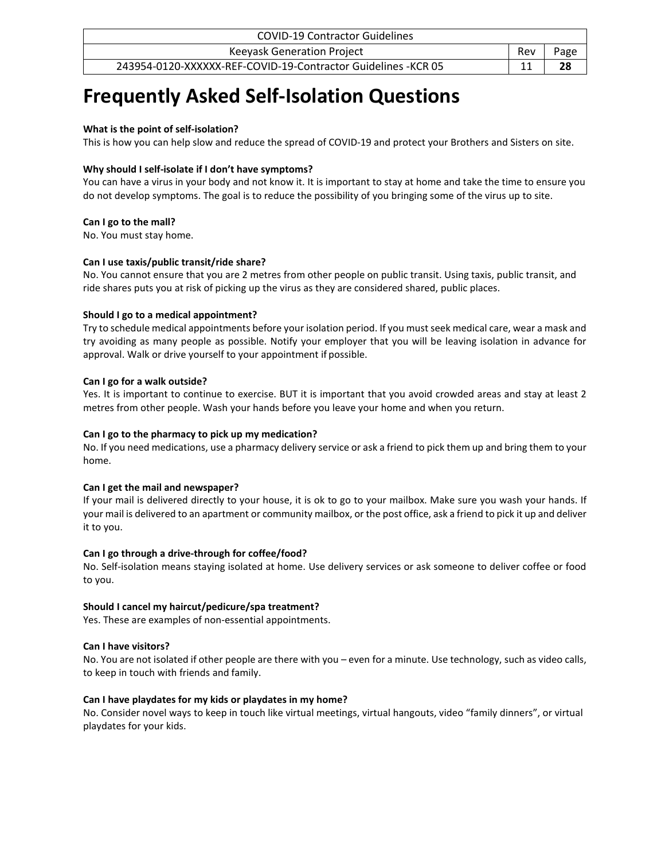| <b>COVID-19 Contractor Guidelines</b>                          |     |      |
|----------------------------------------------------------------|-----|------|
| <b>Keeyask Generation Project</b>                              | Rev | Page |
| 243954-0120-XXXXXX-REF-COVID-19-Contractor Guidelines - KCR 05 |     | 28   |

# **Frequently Asked Self-Isolation Questions**

#### **What is the point of self-isolation?**

This is how you can help slow and reduce the spread of COVID-19 and protect your Brothers and Sisters on site.

#### **Why should I self-isolate if I don't have symptoms?**

You can have a virus in your body and not know it. It is important to stay at home and take the time to ensure you do not develop symptoms. The goal is to reduce the possibility of you bringing some of the virus up to site.

#### **Can I go to the mall?**

No. You must stay home.

#### **Can I use taxis/public transit/ride share?**

No. You cannot ensure that you are 2 metres from other people on public transit. Using taxis, public transit, and ride shares puts you at risk of picking up the virus as they are considered shared, public places.

#### **Should I go to a medical appointment?**

Try to schedule medical appointments before your isolation period. If you mustseek medical care, wear a mask and try avoiding as many people as possible. Notify your employer that you will be leaving isolation in advance for approval. Walk or drive yourself to your appointment if possible.

#### **Can I go for a walk outside?**

Yes. It is important to continue to exercise. BUT it is important that you avoid crowded areas and stay at least 2 metres from other people. Wash your hands before you leave your home and when you return.

#### **Can I go to the pharmacy to pick up my medication?**

No. If you need medications, use a pharmacy delivery service or ask a friend to pick them up and bring them to your home.

### **Can I get the mail and newspaper?**

If your mail is delivered directly to your house, it is ok to go to your mailbox. Make sure you wash your hands. If your mail is delivered to an apartment or community mailbox, or the post office, ask a friend to pick it up and deliver it to you.

### **Can I go through a drive-through for coffee/food?**

No. Self-isolation means staying isolated at home. Use delivery services or ask someone to deliver coffee or food to you.

### **Should I cancel my haircut/pedicure/spa treatment?**

Yes. These are examples of non-essential appointments.

#### **Can I have visitors?**

No. You are not isolated if other people are there with you – even for a minute. Use technology, such as video calls, to keep in touch with friends and family.

### **Can I have playdates for my kids or playdates in my home?**

No. Consider novel ways to keep in touch like virtual meetings, virtual hangouts, video "family dinners", or virtual playdates for your kids.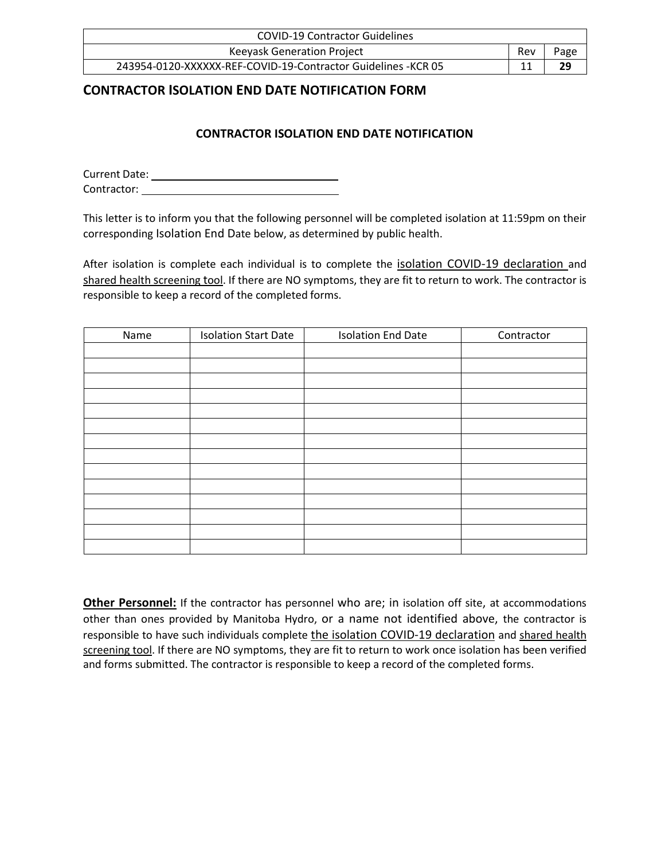| <b>COVID-19 Contractor Guidelines</b>                          |     |      |
|----------------------------------------------------------------|-----|------|
| Keeyask Generation Project                                     | Rev | Page |
| 243954-0120-XXXXXX-REF-COVID-19-Contractor Guidelines - KCR 05 |     | 29   |

# <span id="page-28-0"></span>**CONTRACTOR ISOLATION END DATE NOTIFICATION FORM**

## **CONTRACTOR ISOLATION END DATE NOTIFICATION**

Current Date: Contractor:

This letter is to inform you that the following personnel will be completed isolation at 11:59pm on their corresponding Isolation End Date below, as determined by public health.

After isolation is complete each individual is to complete the isolation COVID-19 declaration and shared health screening tool. If there are NO symptoms, they are fit to return to work. The contractor is responsible to keep a record of the completed forms.

| Name | <b>Isolation Start Date</b> | <b>Isolation End Date</b> | Contractor |
|------|-----------------------------|---------------------------|------------|
|      |                             |                           |            |
|      |                             |                           |            |
|      |                             |                           |            |
|      |                             |                           |            |
|      |                             |                           |            |
|      |                             |                           |            |
|      |                             |                           |            |
|      |                             |                           |            |
|      |                             |                           |            |
|      |                             |                           |            |
|      |                             |                           |            |
|      |                             |                           |            |
|      |                             |                           |            |
|      |                             |                           |            |

**Other Personnel:** If the contractor has personnel who are; in isolation off site, at accommodations other than ones provided by Manitoba Hydro, or a name not identified above, the contractor is responsible to have such individuals complete the isolation COVID-19 declaration and shared health screening tool. If there are NO symptoms, they are fit to return to work once isolation has been verified and forms submitted. The contractor is responsible to keep a record of the completed forms.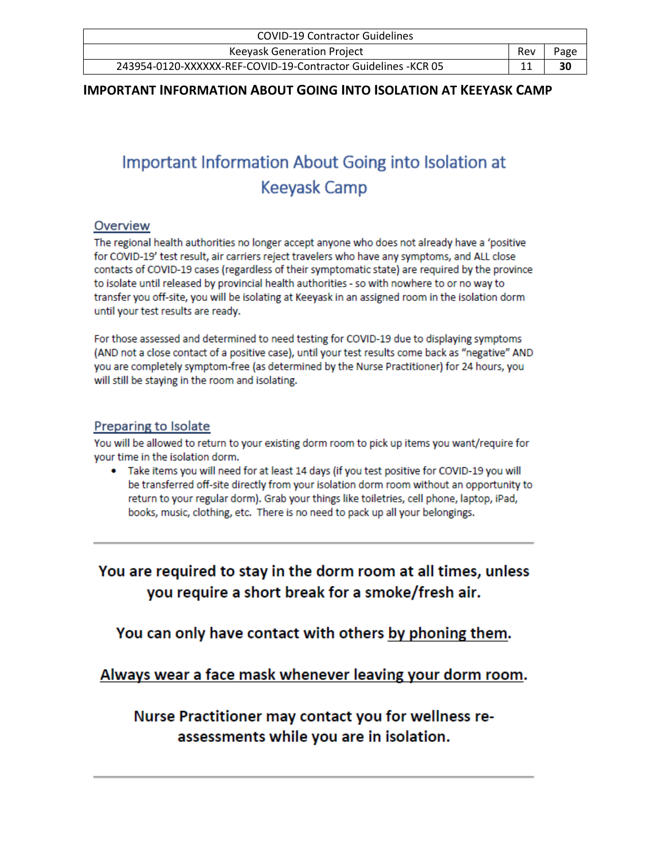| <b>COVID-19 Contractor Guidelines</b>                          |     |      |  |
|----------------------------------------------------------------|-----|------|--|
| Keeyask Generation Project                                     | Rev | Page |  |
| 243954-0120-XXXXXX-REF-COVID-19-Contractor Guidelines - KCR 05 |     | 30   |  |

### <span id="page-29-0"></span>**IMPORTANT INFORMATION ABOUT GOING INTO ISOLATION AT KEEYASK CAMP**

# Important Information About Going into Isolation at **Keevask Camp**

### Overview

The regional health authorities no longer accept anyone who does not already have a 'positive for COVID-19' test result, air carriers reject travelers who have any symptoms, and ALL close contacts of COVID-19 cases (regardless of their symptomatic state) are required by the province to isolate until released by provincial health authorities - so with nowhere to or no way to transfer you off-site, you will be isolating at Keeyask in an assigned room in the isolation dorm until your test results are ready.

For those assessed and determined to need testing for COVID-19 due to displaying symptoms (AND not a close contact of a positive case), until your test results come back as "negative" AND you are completely symptom-free (as determined by the Nurse Practitioner) for 24 hours, you will still be staying in the room and isolating.

### Preparing to Isolate

You will be allowed to return to your existing dorm room to pick up items you want/require for your time in the isolation dorm.

• Take items you will need for at least 14 days (if you test positive for COVID-19 you will be transferred off-site directly from your isolation dorm room without an opportunity to return to your regular dorm). Grab your things like toiletries, cell phone, laptop, iPad, books, music, clothing, etc. There is no need to pack up all your belongings.

You are required to stay in the dorm room at all times, unless you require a short break for a smoke/fresh air.

You can only have contact with others by phoning them.

Always wear a face mask whenever leaving your dorm room.

Nurse Practitioner may contact you for wellness reassessments while you are in isolation.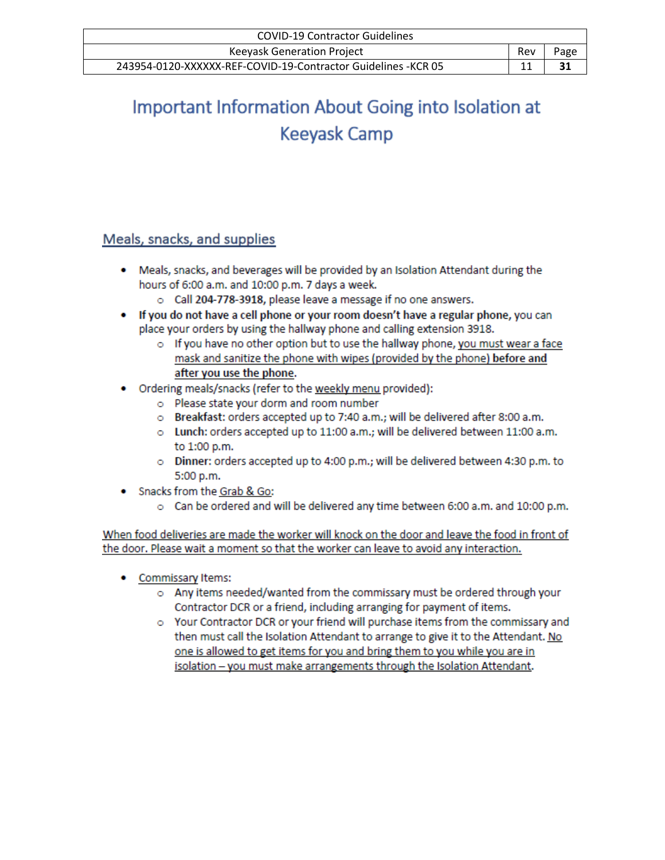| <b>COVID-19 Contractor Guidelines</b>                          |     |      |
|----------------------------------------------------------------|-----|------|
| <b>Keeyask Generation Project</b>                              | Rev | Page |
| 243954-0120-XXXXXX-REF-COVID-19-Contractor Guidelines - KCR 05 |     | 31   |

# Important Information About Going into Isolation at **Keeyask Camp**

# Meals, snacks, and supplies

- . Meals, snacks, and beverages will be provided by an Isolation Attendant during the hours of 6:00 a.m. and 10:00 p.m. 7 days a week.
	- o Call 204-778-3918, please leave a message if no one answers.
- If you do not have a cell phone or your room doesn't have a regular phone, you can place your orders by using the hallway phone and calling extension 3918.
	- $\circ$  If you have no other option but to use the hallway phone, you must wear a face mask and sanitize the phone with wipes (provided by the phone) before and after you use the phone.
- Ordering meals/snacks (refer to the weekly menu provided):
	- o Please state your dorm and room number
	- o Breakfast: orders accepted up to 7:40 a.m.; will be delivered after 8:00 a.m.
	- o Lunch: orders accepted up to 11:00 a.m.; will be delivered between 11:00 a.m. to 1:00 p.m.
	- o Dinner: orders accepted up to 4:00 p.m.; will be delivered between 4:30 p.m. to 5:00 p.m.
- Snacks from the Grab & Go:
	- o Can be ordered and will be delivered any time between 6:00 a.m. and 10:00 p.m.

When food deliveries are made the worker will knock on the door and leave the food in front of the door. Please wait a moment so that the worker can leave to avoid any interaction.

- Commissary Items:
	- o Any items needed/wanted from the commissary must be ordered through your Contractor DCR or a friend, including arranging for payment of items.
	- o Your Contractor DCR or your friend will purchase items from the commissary and then must call the Isolation Attendant to arrange to give it to the Attendant. No one is allowed to get items for you and bring them to you while you are in isolation - you must make arrangements through the Isolation Attendant.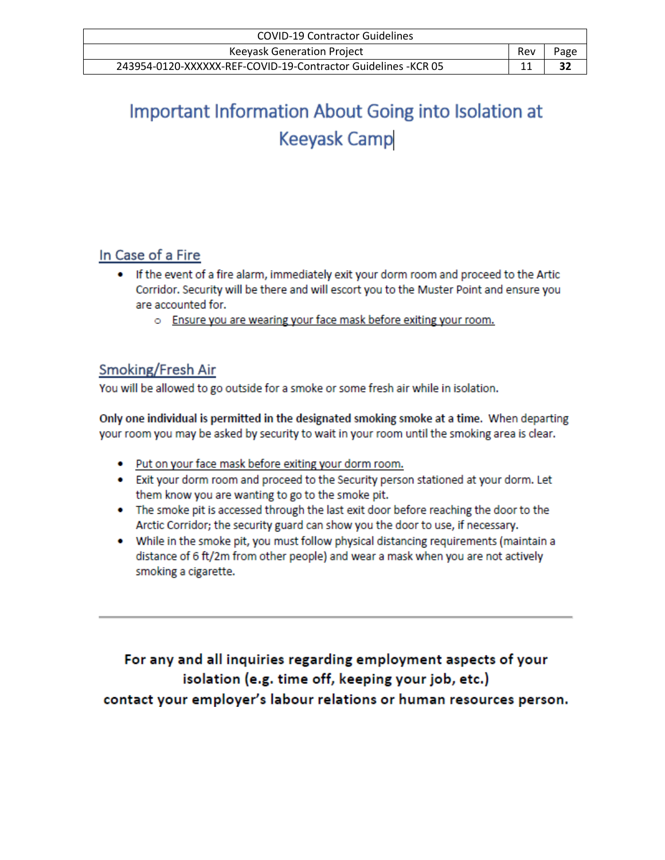| <b>COVID-19 Contractor Guidelines</b>                          |     |      |
|----------------------------------------------------------------|-----|------|
| <b>Keeyask Generation Project</b>                              | Rev | Page |
| 243954-0120-XXXXXX-REF-COVID-19-Contractor Guidelines - KCR 05 |     | 32   |

# Important Information About Going into Isolation at **Keeyask Camp**

# In Case of a Fire

- . If the event of a fire alarm, immediately exit your dorm room and proceed to the Artic Corridor. Security will be there and will escort you to the Muster Point and ensure you are accounted for.
	- o Ensure you are wearing your face mask before exiting your room.

# Smoking/Fresh Air

You will be allowed to go outside for a smoke or some fresh air while in isolation.

Only one individual is permitted in the designated smoking smoke at a time. When departing your room you may be asked by security to wait in your room until the smoking area is clear.

- Put on your face mask before exiting your dorm room.
- Exit your dorm room and proceed to the Security person stationed at your dorm. Let them know you are wanting to go to the smoke pit.
- The smoke pit is accessed through the last exit door before reaching the door to the Arctic Corridor; the security guard can show you the door to use, if necessary.
- While in the smoke pit, you must follow physical distancing requirements (maintain a distance of 6 ft/2m from other people) and wear a mask when you are not actively smoking a cigarette.

For any and all inquiries regarding employment aspects of your isolation (e.g. time off, keeping your job, etc.)

contact your employer's labour relations or human resources person.